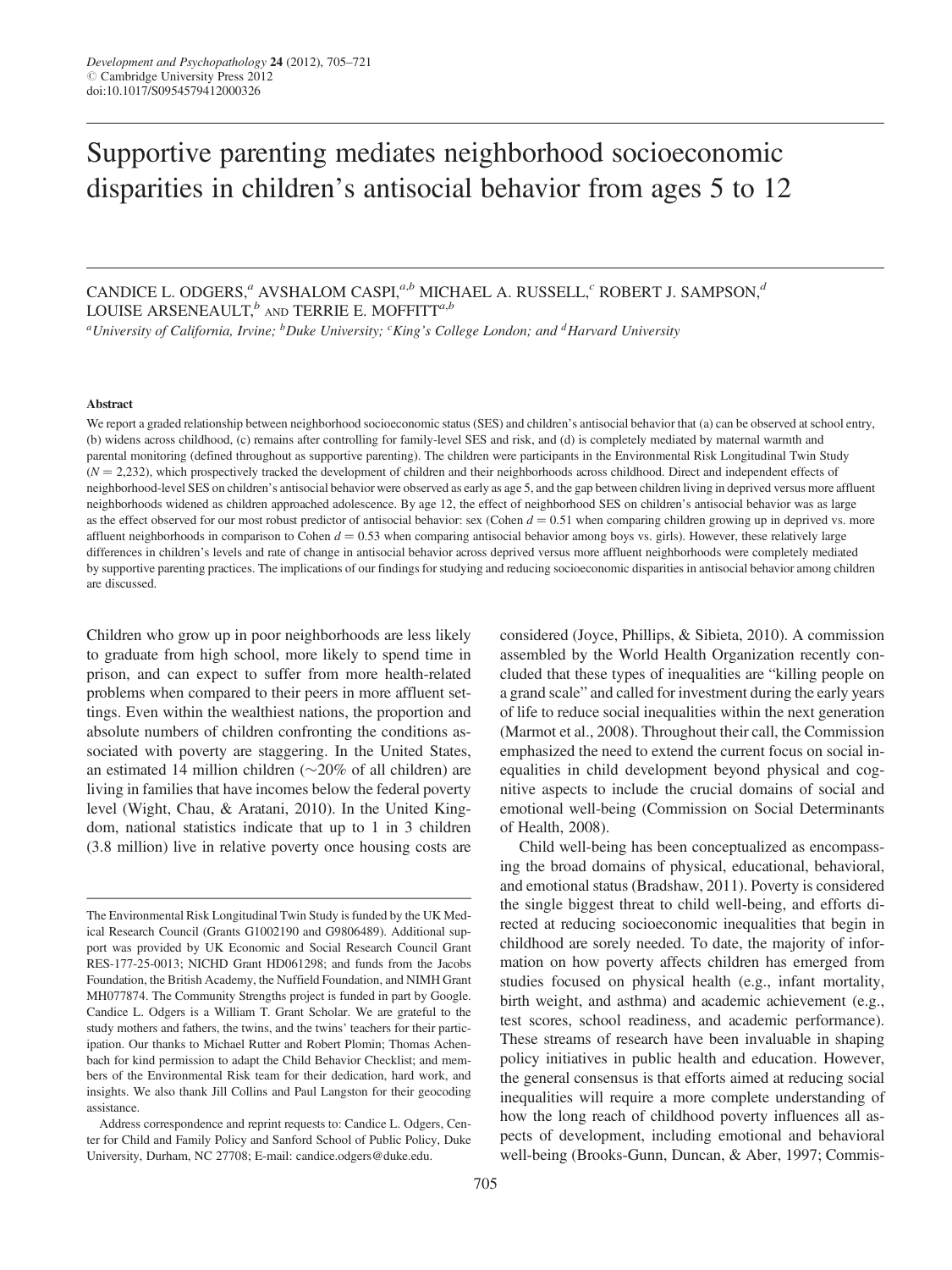# Supportive parenting mediates neighborhood socioeconomic disparities in children's antisocial behavior from ages 5 to 12

CANDICE L. ODGERS,<sup> $a$ </sup> AVSHALOM CASPI, $a$ , $b$  MICHAEL A. RUSSELL, $c$  ROBERT J. SAMPSON, $d$ LOUISE ARSENEAULT,<sup>b</sup> AND TERRIE E. MOFFITT<sup>a,b</sup>

<sup>a</sup>University of California, Irvine; <sup>b</sup>Duke University; <sup>c</sup>King's College London; and <sup>d</sup>Harvard University

#### Abstract

We report a graded relationship between neighborhood socioeconomic status (SES) and children's antisocial behavior that (a) can be observed at school entry, (b) widens across childhood, (c) remains after controlling for family-level SES and risk, and (d) is completely mediated by maternal warmth and parental monitoring (defined throughout as supportive parenting). The children were participants in the Environmental Risk Longitudinal Twin Study  $(N = 2,232)$ , which prospectively tracked the development of children and their neighborhoods across childhood. Direct and independent effects of neighborhood-level SES on children's antisocial behavior were observed as early as age 5, and the gap between children living in deprived versus more affluent neighborhoods widened as children approached adolescence. By age 12, the effect of neighborhood SES on children's antisocial behavior was as large as the effect observed for our most robust predictor of antisocial behavior: sex (Cohen  $d = 0.51$  when comparing children growing up in deprived vs. more affluent neighborhoods in comparison to Cohen  $d = 0.53$  when comparing antisocial behavior among boys vs. girls). However, these relatively large differences in children's levels and rate of change in antisocial behavior across deprived versus more affluent neighborhoods were completely mediated by supportive parenting practices. The implications of our findings for studying and reducing socioeconomic disparities in antisocial behavior among children are discussed.

Children who grow up in poor neighborhoods are less likely to graduate from high school, more likely to spend time in prison, and can expect to suffer from more health-related problems when compared to their peers in more affluent settings. Even within the wealthiest nations, the proportion and absolute numbers of children confronting the conditions associated with poverty are staggering. In the United States, an estimated 14 million children  $(\sim 20\%$  of all children) are living in families that have incomes below the federal poverty level (Wight, Chau, & Aratani, 2010). In the United Kingdom, national statistics indicate that up to 1 in 3 children (3.8 million) live in relative poverty once housing costs are

considered (Joyce, Phillips, & Sibieta, 2010). A commission assembled by the World Health Organization recently concluded that these types of inequalities are "killing people on a grand scale" and called for investment during the early years of life to reduce social inequalities within the next generation (Marmot et al., 2008). Throughout their call, the Commission emphasized the need to extend the current focus on social inequalities in child development beyond physical and cognitive aspects to include the crucial domains of social and emotional well-being (Commission on Social Determinants of Health, 2008).

Child well-being has been conceptualized as encompassing the broad domains of physical, educational, behavioral, and emotional status (Bradshaw, 2011). Poverty is considered the single biggest threat to child well-being, and efforts directed at reducing socioeconomic inequalities that begin in childhood are sorely needed. To date, the majority of information on how poverty affects children has emerged from studies focused on physical health (e.g., infant mortality, birth weight, and asthma) and academic achievement (e.g., test scores, school readiness, and academic performance). These streams of research have been invaluable in shaping policy initiatives in public health and education. However, the general consensus is that efforts aimed at reducing social inequalities will require a more complete understanding of how the long reach of childhood poverty influences all aspects of development, including emotional and behavioral well-being (Brooks-Gunn, Duncan, & Aber, 1997; Commis-

The Environmental Risk Longitudinal Twin Study is funded by the UK Medical Research Council (Grants G1002190 and G9806489). Additional support was provided by UK Economic and Social Research Council Grant RES-177-25-0013; NICHD Grant HD061298; and funds from the Jacobs Foundation, the British Academy, the Nuffield Foundation, and NIMH Grant MH077874. The Community Strengths project is funded in part by Google. Candice L. Odgers is a William T. Grant Scholar. We are grateful to the study mothers and fathers, the twins, and the twins' teachers for their participation. Our thanks to Michael Rutter and Robert Plomin; Thomas Achenbach for kind permission to adapt the Child Behavior Checklist; and members of the Environmental Risk team for their dedication, hard work, and insights. We also thank Jill Collins and Paul Langston for their geocoding assistance.

Address correspondence and reprint requests to: Candice L. Odgers, Center for Child and Family Policy and Sanford School of Public Policy, Duke University, Durham, NC 27708; E-mail: candice.odgers@duke.edu.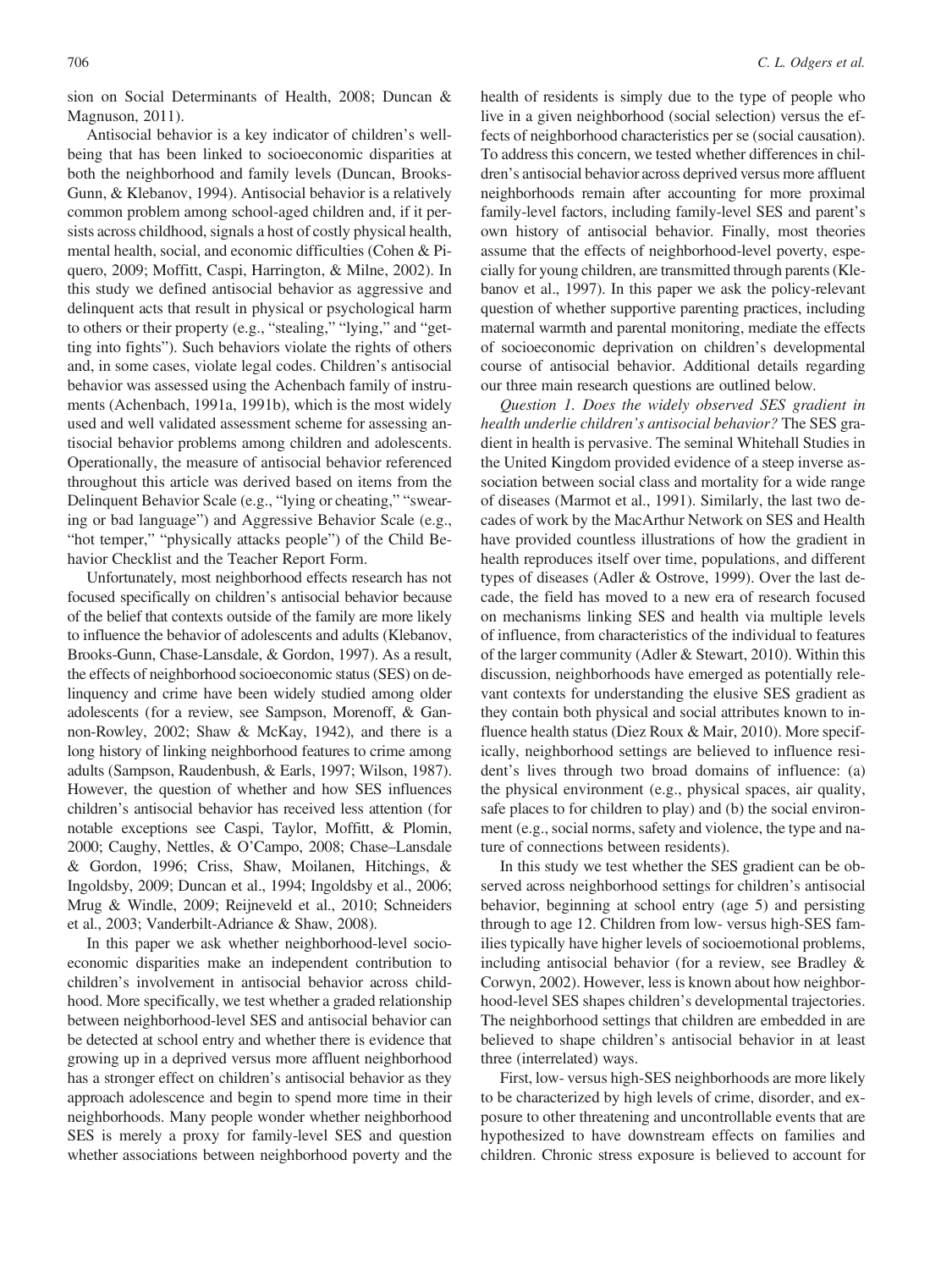sion on Social Determinants of Health, 2008; Duncan & Magnuson, 2011).

Antisocial behavior is a key indicator of children's wellbeing that has been linked to socioeconomic disparities at both the neighborhood and family levels (Duncan, Brooks-Gunn, & Klebanov, 1994). Antisocial behavior is a relatively common problem among school-aged children and, if it persists across childhood, signals a host of costly physical health, mental health, social, and economic difficulties (Cohen & Piquero, 2009; Moffitt, Caspi, Harrington, & Milne, 2002). In this study we defined antisocial behavior as aggressive and delinquent acts that result in physical or psychological harm to others or their property (e.g., "stealing," "lying," and "getting into fights"). Such behaviors violate the rights of others and, in some cases, violate legal codes. Children's antisocial behavior was assessed using the Achenbach family of instruments (Achenbach, 1991a, 1991b), which is the most widely used and well validated assessment scheme for assessing antisocial behavior problems among children and adolescents. Operationally, the measure of antisocial behavior referenced throughout this article was derived based on items from the Delinquent Behavior Scale (e.g., "lying or cheating," "swearing or bad language") and Aggressive Behavior Scale (e.g., "hot temper," "physically attacks people") of the Child Behavior Checklist and the Teacher Report Form.

Unfortunately, most neighborhood effects research has not focused specifically on children's antisocial behavior because of the belief that contexts outside of the family are more likely to influence the behavior of adolescents and adults (Klebanov, Brooks-Gunn, Chase-Lansdale, & Gordon, 1997). As a result, the effects of neighborhood socioeconomic status (SES) on delinquency and crime have been widely studied among older adolescents (for a review, see Sampson, Morenoff, & Gannon-Rowley, 2002; Shaw & McKay, 1942), and there is a long history of linking neighborhood features to crime among adults (Sampson, Raudenbush, & Earls, 1997; Wilson, 1987). However, the question of whether and how SES influences children's antisocial behavior has received less attention (for notable exceptions see Caspi, Taylor, Moffitt, & Plomin, 2000; Caughy, Nettles, & O'Campo, 2008; Chase–Lansdale & Gordon, 1996; Criss, Shaw, Moilanen, Hitchings, & Ingoldsby, 2009; Duncan et al., 1994; Ingoldsby et al., 2006; Mrug & Windle, 2009; Reijneveld et al., 2010; Schneiders et al., 2003; Vanderbilt-Adriance & Shaw, 2008).

In this paper we ask whether neighborhood-level socioeconomic disparities make an independent contribution to children's involvement in antisocial behavior across childhood. More specifically, we test whether a graded relationship between neighborhood-level SES and antisocial behavior can be detected at school entry and whether there is evidence that growing up in a deprived versus more affluent neighborhood has a stronger effect on children's antisocial behavior as they approach adolescence and begin to spend more time in their neighborhoods. Many people wonder whether neighborhood SES is merely a proxy for family-level SES and question whether associations between neighborhood poverty and the

health of residents is simply due to the type of people who live in a given neighborhood (social selection) versus the effects of neighborhood characteristics per se (social causation). To address this concern, we tested whether differences in children's antisocial behavior across deprived versus more affluent neighborhoods remain after accounting for more proximal family-level factors, including family-level SES and parent's own history of antisocial behavior. Finally, most theories assume that the effects of neighborhood-level poverty, especially for young children, are transmitted through parents (Klebanov et al., 1997). In this paper we ask the policy-relevant question of whether supportive parenting practices, including maternal warmth and parental monitoring, mediate the effects of socioeconomic deprivation on children's developmental course of antisocial behavior. Additional details regarding our three main research questions are outlined below.

Question 1. Does the widely observed SES gradient in health underlie children's antisocial behavior? The SES gradient in health is pervasive. The seminal Whitehall Studies in the United Kingdom provided evidence of a steep inverse association between social class and mortality for a wide range of diseases (Marmot et al., 1991). Similarly, the last two decades of work by the MacArthur Network on SES and Health have provided countless illustrations of how the gradient in health reproduces itself over time, populations, and different types of diseases (Adler & Ostrove, 1999). Over the last decade, the field has moved to a new era of research focused on mechanisms linking SES and health via multiple levels of influence, from characteristics of the individual to features of the larger community (Adler & Stewart, 2010). Within this discussion, neighborhoods have emerged as potentially relevant contexts for understanding the elusive SES gradient as they contain both physical and social attributes known to influence health status (Diez Roux & Mair, 2010). More specifically, neighborhood settings are believed to influence resident's lives through two broad domains of influence: (a) the physical environment (e.g., physical spaces, air quality, safe places to for children to play) and (b) the social environment (e.g., social norms, safety and violence, the type and nature of connections between residents).

In this study we test whether the SES gradient can be observed across neighborhood settings for children's antisocial behavior, beginning at school entry (age 5) and persisting through to age 12. Children from low- versus high-SES families typically have higher levels of socioemotional problems, including antisocial behavior (for a review, see Bradley & Corwyn, 2002). However, less is known about how neighborhood-level SES shapes children's developmental trajectories. The neighborhood settings that children are embedded in are believed to shape children's antisocial behavior in at least three (interrelated) ways.

First, low- versus high-SES neighborhoods are more likely to be characterized by high levels of crime, disorder, and exposure to other threatening and uncontrollable events that are hypothesized to have downstream effects on families and children. Chronic stress exposure is believed to account for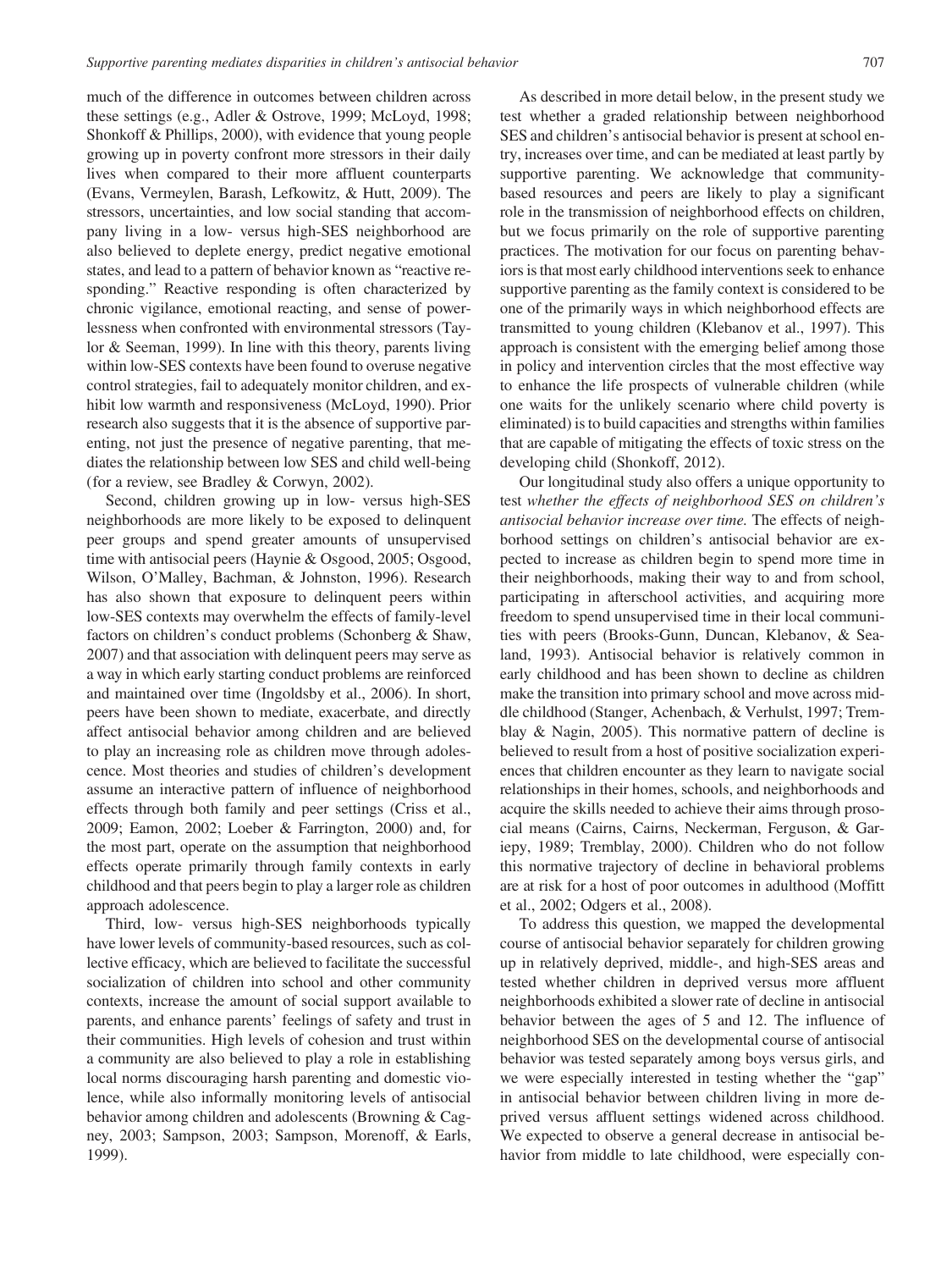much of the difference in outcomes between children across these settings (e.g., Adler & Ostrove, 1999; McLoyd, 1998; Shonkoff & Phillips, 2000), with evidence that young people growing up in poverty confront more stressors in their daily lives when compared to their more affluent counterparts (Evans, Vermeylen, Barash, Lefkowitz, & Hutt, 2009). The stressors, uncertainties, and low social standing that accompany living in a low- versus high-SES neighborhood are also believed to deplete energy, predict negative emotional states, and lead to a pattern of behavior known as "reactive responding." Reactive responding is often characterized by chronic vigilance, emotional reacting, and sense of powerlessness when confronted with environmental stressors (Taylor & Seeman, 1999). In line with this theory, parents living within low-SES contexts have been found to overuse negative control strategies, fail to adequately monitor children, and exhibit low warmth and responsiveness (McLoyd, 1990). Prior research also suggests that it is the absence of supportive parenting, not just the presence of negative parenting, that mediates the relationship between low SES and child well-being (for a review, see Bradley & Corwyn, 2002).

Second, children growing up in low- versus high-SES neighborhoods are more likely to be exposed to delinquent peer groups and spend greater amounts of unsupervised time with antisocial peers (Haynie & Osgood, 2005; Osgood, Wilson, O'Malley, Bachman, & Johnston, 1996). Research has also shown that exposure to delinquent peers within low-SES contexts may overwhelm the effects of family-level factors on children's conduct problems (Schonberg & Shaw, 2007) and that association with delinquent peers may serve as a way in which early starting conduct problems are reinforced and maintained over time (Ingoldsby et al., 2006). In short, peers have been shown to mediate, exacerbate, and directly affect antisocial behavior among children and are believed to play an increasing role as children move through adolescence. Most theories and studies of children's development assume an interactive pattern of influence of neighborhood effects through both family and peer settings (Criss et al., 2009; Eamon, 2002; Loeber & Farrington, 2000) and, for the most part, operate on the assumption that neighborhood effects operate primarily through family contexts in early childhood and that peers begin to play a larger role as children approach adolescence.

Third, low- versus high-SES neighborhoods typically have lower levels of community-based resources, such as collective efficacy, which are believed to facilitate the successful socialization of children into school and other community contexts, increase the amount of social support available to parents, and enhance parents' feelings of safety and trust in their communities. High levels of cohesion and trust within a community are also believed to play a role in establishing local norms discouraging harsh parenting and domestic violence, while also informally monitoring levels of antisocial behavior among children and adolescents (Browning & Cagney, 2003; Sampson, 2003; Sampson, Morenoff, & Earls, 1999).

As described in more detail below, in the present study we test whether a graded relationship between neighborhood SES and children's antisocial behavior is present at school entry, increases over time, and can be mediated at least partly by supportive parenting. We acknowledge that communitybased resources and peers are likely to play a significant role in the transmission of neighborhood effects on children, but we focus primarily on the role of supportive parenting practices. The motivation for our focus on parenting behaviors is that most early childhood interventions seek to enhance supportive parenting as the family context is considered to be one of the primarily ways in which neighborhood effects are transmitted to young children (Klebanov et al., 1997). This approach is consistent with the emerging belief among those in policy and intervention circles that the most effective way to enhance the life prospects of vulnerable children (while one waits for the unlikely scenario where child poverty is eliminated) is to build capacities and strengths within families that are capable of mitigating the effects of toxic stress on the developing child (Shonkoff, 2012).

Our longitudinal study also offers a unique opportunity to test whether the effects of neighborhood SES on children's antisocial behavior increase over time. The effects of neighborhood settings on children's antisocial behavior are expected to increase as children begin to spend more time in their neighborhoods, making their way to and from school, participating in afterschool activities, and acquiring more freedom to spend unsupervised time in their local communities with peers (Brooks-Gunn, Duncan, Klebanov, & Sealand, 1993). Antisocial behavior is relatively common in early childhood and has been shown to decline as children make the transition into primary school and move across middle childhood (Stanger, Achenbach, & Verhulst, 1997; Tremblay & Nagin, 2005). This normative pattern of decline is believed to result from a host of positive socialization experiences that children encounter as they learn to navigate social relationships in their homes, schools, and neighborhoods and acquire the skills needed to achieve their aims through prosocial means (Cairns, Cairns, Neckerman, Ferguson, & Gariepy, 1989; Tremblay, 2000). Children who do not follow this normative trajectory of decline in behavioral problems are at risk for a host of poor outcomes in adulthood (Moffitt et al., 2002; Odgers et al., 2008).

To address this question, we mapped the developmental course of antisocial behavior separately for children growing up in relatively deprived, middle-, and high-SES areas and tested whether children in deprived versus more affluent neighborhoods exhibited a slower rate of decline in antisocial behavior between the ages of 5 and 12. The influence of neighborhood SES on the developmental course of antisocial behavior was tested separately among boys versus girls, and we were especially interested in testing whether the "gap" in antisocial behavior between children living in more deprived versus affluent settings widened across childhood. We expected to observe a general decrease in antisocial behavior from middle to late childhood, were especially con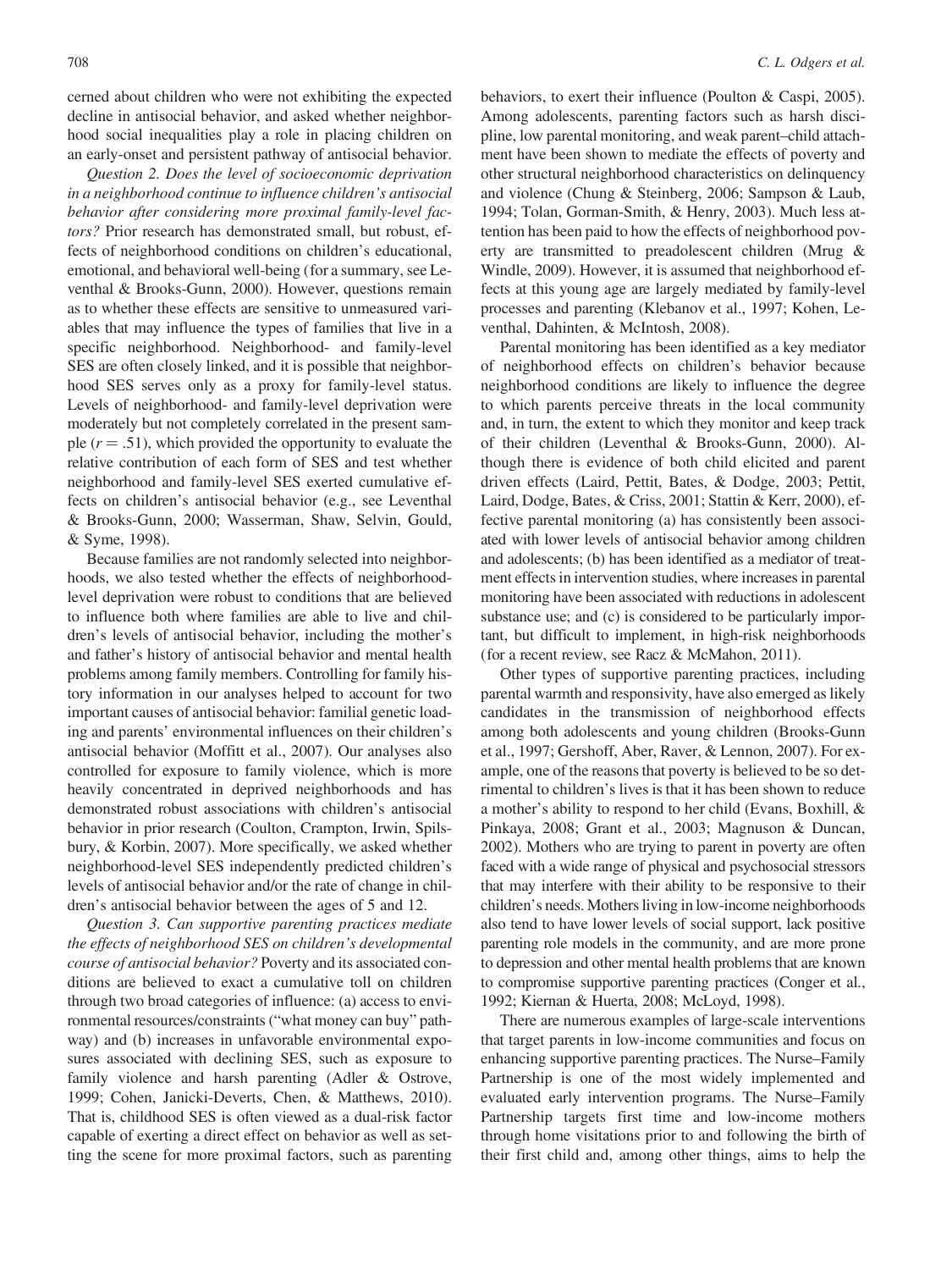cerned about children who were not exhibiting the expected decline in antisocial behavior, and asked whether neighborhood social inequalities play a role in placing children on an early-onset and persistent pathway of antisocial behavior.

Question 2. Does the level of socioeconomic deprivation in a neighborhood continue to influence children's antisocial behavior after considering more proximal family-level factors? Prior research has demonstrated small, but robust, effects of neighborhood conditions on children's educational, emotional, and behavioral well-being (for a summary, see Leventhal & Brooks-Gunn, 2000). However, questions remain as to whether these effects are sensitive to unmeasured variables that may influence the types of families that live in a specific neighborhood. Neighborhood- and family-level SES are often closely linked, and it is possible that neighborhood SES serves only as a proxy for family-level status. Levels of neighborhood- and family-level deprivation were moderately but not completely correlated in the present sample  $(r = .51)$ , which provided the opportunity to evaluate the relative contribution of each form of SES and test whether neighborhood and family-level SES exerted cumulative effects on children's antisocial behavior (e.g., see Leventhal & Brooks-Gunn, 2000; Wasserman, Shaw, Selvin, Gould, & Syme, 1998).

Because families are not randomly selected into neighborhoods, we also tested whether the effects of neighborhoodlevel deprivation were robust to conditions that are believed to influence both where families are able to live and children's levels of antisocial behavior, including the mother's and father's history of antisocial behavior and mental health problems among family members. Controlling for family history information in our analyses helped to account for two important causes of antisocial behavior: familial genetic loading and parents' environmental influences on their children's antisocial behavior (Moffitt et al., 2007). Our analyses also controlled for exposure to family violence, which is more heavily concentrated in deprived neighborhoods and has demonstrated robust associations with children's antisocial behavior in prior research (Coulton, Crampton, Irwin, Spilsbury, & Korbin, 2007). More specifically, we asked whether neighborhood-level SES independently predicted children's levels of antisocial behavior and/or the rate of change in children's antisocial behavior between the ages of 5 and 12.

Question 3. Can supportive parenting practices mediate the effects of neighborhood SES on children's developmental course of antisocial behavior? Poverty and its associated conditions are believed to exact a cumulative toll on children through two broad categories of influence: (a) access to environmental resources/constraints ("what money can buy" pathway) and (b) increases in unfavorable environmental exposures associated with declining SES, such as exposure to family violence and harsh parenting (Adler & Ostrove, 1999; Cohen, Janicki-Deverts, Chen, & Matthews, 2010). That is, childhood SES is often viewed as a dual-risk factor capable of exerting a direct effect on behavior as well as setting the scene for more proximal factors, such as parenting behaviors, to exert their influence (Poulton & Caspi, 2005). Among adolescents, parenting factors such as harsh discipline, low parental monitoring, and weak parent–child attachment have been shown to mediate the effects of poverty and other structural neighborhood characteristics on delinquency and violence (Chung & Steinberg, 2006; Sampson & Laub, 1994; Tolan, Gorman-Smith, & Henry, 2003). Much less attention has been paid to how the effects of neighborhood poverty are transmitted to preadolescent children (Mrug & Windle, 2009). However, it is assumed that neighborhood effects at this young age are largely mediated by family-level processes and parenting (Klebanov et al., 1997; Kohen, Leventhal, Dahinten, & McIntosh, 2008).

Parental monitoring has been identified as a key mediator of neighborhood effects on children's behavior because neighborhood conditions are likely to influence the degree to which parents perceive threats in the local community and, in turn, the extent to which they monitor and keep track of their children (Leventhal & Brooks-Gunn, 2000). Although there is evidence of both child elicited and parent driven effects (Laird, Pettit, Bates, & Dodge, 2003; Pettit, Laird, Dodge, Bates, & Criss, 2001; Stattin & Kerr, 2000), effective parental monitoring (a) has consistently been associated with lower levels of antisocial behavior among children and adolescents; (b) has been identified as a mediator of treatment effects in intervention studies, where increases in parental monitoring have been associated with reductions in adolescent substance use; and (c) is considered to be particularly important, but difficult to implement, in high-risk neighborhoods (for a recent review, see Racz & McMahon, 2011).

Other types of supportive parenting practices, including parental warmth and responsivity, have also emerged as likely candidates in the transmission of neighborhood effects among both adolescents and young children (Brooks-Gunn et al., 1997; Gershoff, Aber, Raver, & Lennon, 2007). For example, one of the reasons that poverty is believed to be so detrimental to children's lives is that it has been shown to reduce a mother's ability to respond to her child (Evans, Boxhill, & Pinkaya, 2008; Grant et al., 2003; Magnuson & Duncan, 2002). Mothers who are trying to parent in poverty are often faced with a wide range of physical and psychosocial stressors that may interfere with their ability to be responsive to their children's needs. Mothers living in low-income neighborhoods also tend to have lower levels of social support, lack positive parenting role models in the community, and are more prone to depression and other mental health problems that are known to compromise supportive parenting practices (Conger et al., 1992; Kiernan & Huerta, 2008; McLoyd, 1998).

There are numerous examples of large-scale interventions that target parents in low-income communities and focus on enhancing supportive parenting practices. The Nurse–Family Partnership is one of the most widely implemented and evaluated early intervention programs. The Nurse–Family Partnership targets first time and low-income mothers through home visitations prior to and following the birth of their first child and, among other things, aims to help the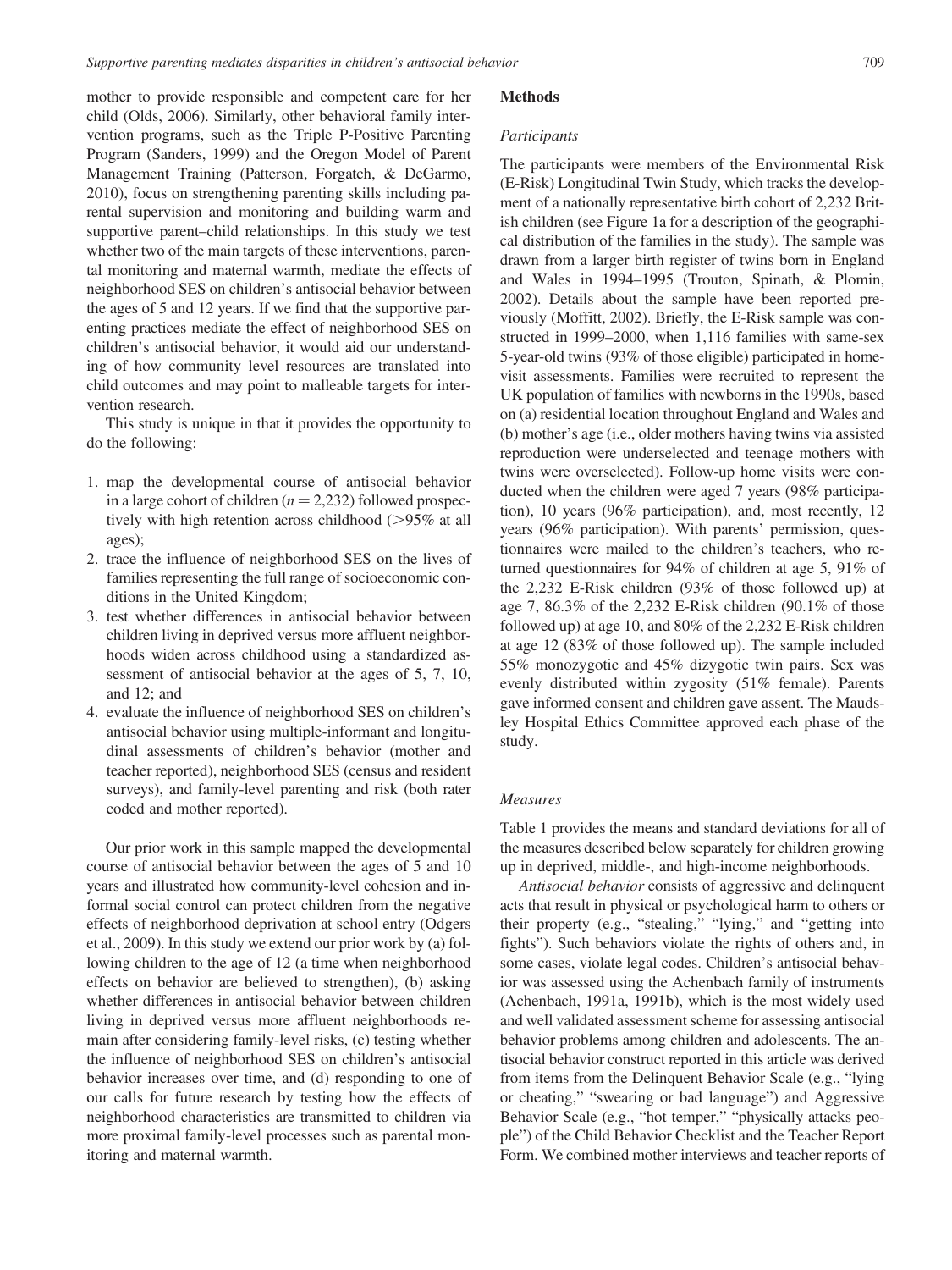mother to provide responsible and competent care for her child (Olds, 2006). Similarly, other behavioral family intervention programs, such as the Triple P-Positive Parenting Program (Sanders, 1999) and the Oregon Model of Parent Management Training (Patterson, Forgatch, & DeGarmo, 2010), focus on strengthening parenting skills including parental supervision and monitoring and building warm and supportive parent–child relationships. In this study we test whether two of the main targets of these interventions, parental monitoring and maternal warmth, mediate the effects of neighborhood SES on children's antisocial behavior between the ages of 5 and 12 years. If we find that the supportive parenting practices mediate the effect of neighborhood SES on children's antisocial behavior, it would aid our understanding of how community level resources are translated into child outcomes and may point to malleable targets for intervention research.

This study is unique in that it provides the opportunity to do the following:

- 1. map the developmental course of antisocial behavior in a large cohort of children ( $n = 2,232$ ) followed prospectively with high retention across childhood  $(>\!\!95\%$  at all ages);
- 2. trace the influence of neighborhood SES on the lives of families representing the full range of socioeconomic conditions in the United Kingdom;
- 3. test whether differences in antisocial behavior between children living in deprived versus more affluent neighborhoods widen across childhood using a standardized assessment of antisocial behavior at the ages of 5, 7, 10, and 12; and
- 4. evaluate the influence of neighborhood SES on children's antisocial behavior using multiple-informant and longitudinal assessments of children's behavior (mother and teacher reported), neighborhood SES (census and resident surveys), and family-level parenting and risk (both rater coded and mother reported).

Our prior work in this sample mapped the developmental course of antisocial behavior between the ages of 5 and 10 years and illustrated how community-level cohesion and informal social control can protect children from the negative effects of neighborhood deprivation at school entry (Odgers et al., 2009). In this study we extend our prior work by (a) following children to the age of 12 (a time when neighborhood effects on behavior are believed to strengthen), (b) asking whether differences in antisocial behavior between children living in deprived versus more affluent neighborhoods remain after considering family-level risks, (c) testing whether the influence of neighborhood SES on children's antisocial behavior increases over time, and (d) responding to one of our calls for future research by testing how the effects of neighborhood characteristics are transmitted to children via more proximal family-level processes such as parental monitoring and maternal warmth.

### Methods

#### Participants

The participants were members of the Environmental Risk (E-Risk) Longitudinal Twin Study, which tracks the development of a nationally representative birth cohort of 2,232 British children (see Figure 1a for a description of the geographical distribution of the families in the study). The sample was drawn from a larger birth register of twins born in England and Wales in 1994–1995 (Trouton, Spinath, & Plomin, 2002). Details about the sample have been reported previously (Moffitt, 2002). Briefly, the E-Risk sample was constructed in 1999–2000, when 1,116 families with same-sex 5-year-old twins (93% of those eligible) participated in homevisit assessments. Families were recruited to represent the UK population of families with newborns in the 1990s, based on (a) residential location throughout England and Wales and (b) mother's age (i.e., older mothers having twins via assisted reproduction were underselected and teenage mothers with twins were overselected). Follow-up home visits were conducted when the children were aged 7 years (98% participation), 10 years (96% participation), and, most recently, 12 years (96% participation). With parents' permission, questionnaires were mailed to the children's teachers, who returned questionnaires for 94% of children at age 5, 91% of the 2,232 E-Risk children (93% of those followed up) at age 7, 86.3% of the 2,232 E-Risk children (90.1% of those followed up) at age 10, and 80% of the 2,232 E-Risk children at age 12 (83% of those followed up). The sample included 55% monozygotic and 45% dizygotic twin pairs. Sex was evenly distributed within zygosity (51% female). Parents gave informed consent and children gave assent. The Maudsley Hospital Ethics Committee approved each phase of the study.

## Measures

Table 1 provides the means and standard deviations for all of the measures described below separately for children growing up in deprived, middle-, and high-income neighborhoods.

Antisocial behavior consists of aggressive and delinquent acts that result in physical or psychological harm to others or their property (e.g., "stealing," "lying," and "getting into fights"). Such behaviors violate the rights of others and, in some cases, violate legal codes. Children's antisocial behavior was assessed using the Achenbach family of instruments (Achenbach, 1991a, 1991b), which is the most widely used and well validated assessment scheme for assessing antisocial behavior problems among children and adolescents. The antisocial behavior construct reported in this article was derived from items from the Delinquent Behavior Scale (e.g., "lying or cheating," "swearing or bad language") and Aggressive Behavior Scale (e.g., "hot temper," "physically attacks people") of the Child Behavior Checklist and the Teacher Report Form. We combined mother interviews and teacher reports of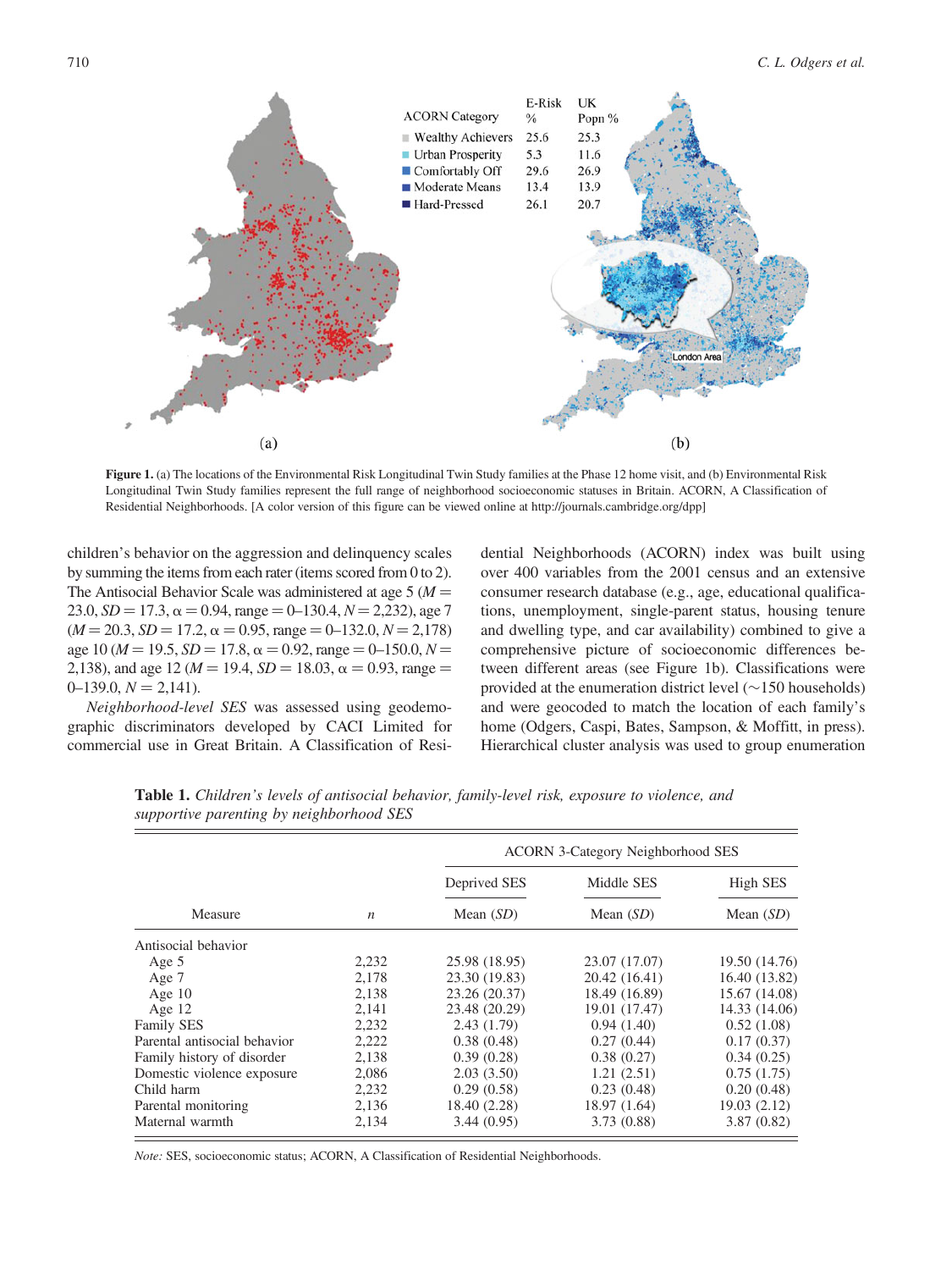

Figure 1. (a) The locations of the Environmental Risk Longitudinal Twin Study families at the Phase 12 home visit, and (b) Environmental Risk Longitudinal Twin Study families represent the full range of neighborhood socioeconomic statuses in Britain. ACORN, A Classification of Residential Neighborhoods. [A color version of this figure can be viewed online at http://journals.cambridge.org/dpp]

children's behavior on the aggression and delinquency scales by summing the items from each rater (items scored from 0 to 2). The Antisocial Behavior Scale was administered at age 5  $(M =$  $23.0, SD = 17.3, \alpha = 0.94, range = 0-130.4, N = 2,232, age 7$  $(M = 20.3, SD = 17.2, \alpha = 0.95, range = 0.132.0, N = 2,178)$ age 10 ( $M = 19.5$ ,  $SD = 17.8$ ,  $\alpha = 0.92$ , range  $= 0.150.0$ ,  $N =$ 2,138), and age 12 ( $M = 19.4$ ,  $SD = 18.03$ ,  $\alpha = 0.93$ , range =  $0-139.0, N = 2,141.$ 

Neighborhood-level SES was assessed using geodemographic discriminators developed by CACI Limited for commercial use in Great Britain. A Classification of Resi-

dential Neighborhoods (ACORN) index was built using over 400 variables from the 2001 census and an extensive consumer research database (e.g., age, educational qualifications, unemployment, single-parent status, housing tenure and dwelling type, and car availability) combined to give a comprehensive picture of socioeconomic differences between different areas (see Figure 1b). Classifications were provided at the enumeration district level  $(\sim 150$  households) and were geocoded to match the location of each family's home (Odgers, Caspi, Bates, Sampson, & Moffitt, in press). Hierarchical cluster analysis was used to group enumeration

|                              |                  |               | <b>ACORN 3-Category Neighborhood SES</b> |               |
|------------------------------|------------------|---------------|------------------------------------------|---------------|
|                              |                  | Deprived SES  | Middle SES                               | High SES      |
| Measure                      | $\boldsymbol{n}$ | Mean $(SD)$   | Mean $(SD)$                              | Mean $(SD)$   |
| Antisocial behavior          |                  |               |                                          |               |
| Age 5                        | 2,232            | 25.98 (18.95) | 23.07 (17.07)                            | 19.50 (14.76) |
| Age 7                        | 2.178            | 23.30 (19.83) | 20.42 (16.41)                            | 16.40 (13.82) |
| Age $10$                     | 2,138            | 23.26 (20.37) | 18.49 (16.89)                            | 15.67 (14.08) |
| Age $12$                     | 2,141            | 23.48 (20.29) | 19.01 (17.47)                            | 14.33 (14.06) |
| <b>Family SES</b>            | 2,232            | 2.43(1.79)    | 0.94(1.40)                               | 0.52(1.08)    |
| Parental antisocial behavior | 2,222            | 0.38(0.48)    | 0.27(0.44)                               | 0.17(0.37)    |
| Family history of disorder   | 2,138            | 0.39(0.28)    | 0.38(0.27)                               | 0.34(0.25)    |
| Domestic violence exposure   | 2,086            | 2.03(3.50)    | 1.21(2.51)                               | 0.75(1.75)    |
| Child harm                   | 2,232            | 0.29(0.58)    | 0.23(0.48)                               | 0.20(0.48)    |
| Parental monitoring          | 2,136            | 18.40 (2.28)  | 18.97 (1.64)                             | 19.03(2.12)   |
| Maternal warmth              | 2,134            | 3.44(0.95)    | 3.73(0.88)                               | 3.87(0.82)    |

Table 1. Children's levels of antisocial behavior, family-level risk, exposure to violence, and supportive parenting by neighborhood SES

Note: SES, socioeconomic status; ACORN, A Classification of Residential Neighborhoods.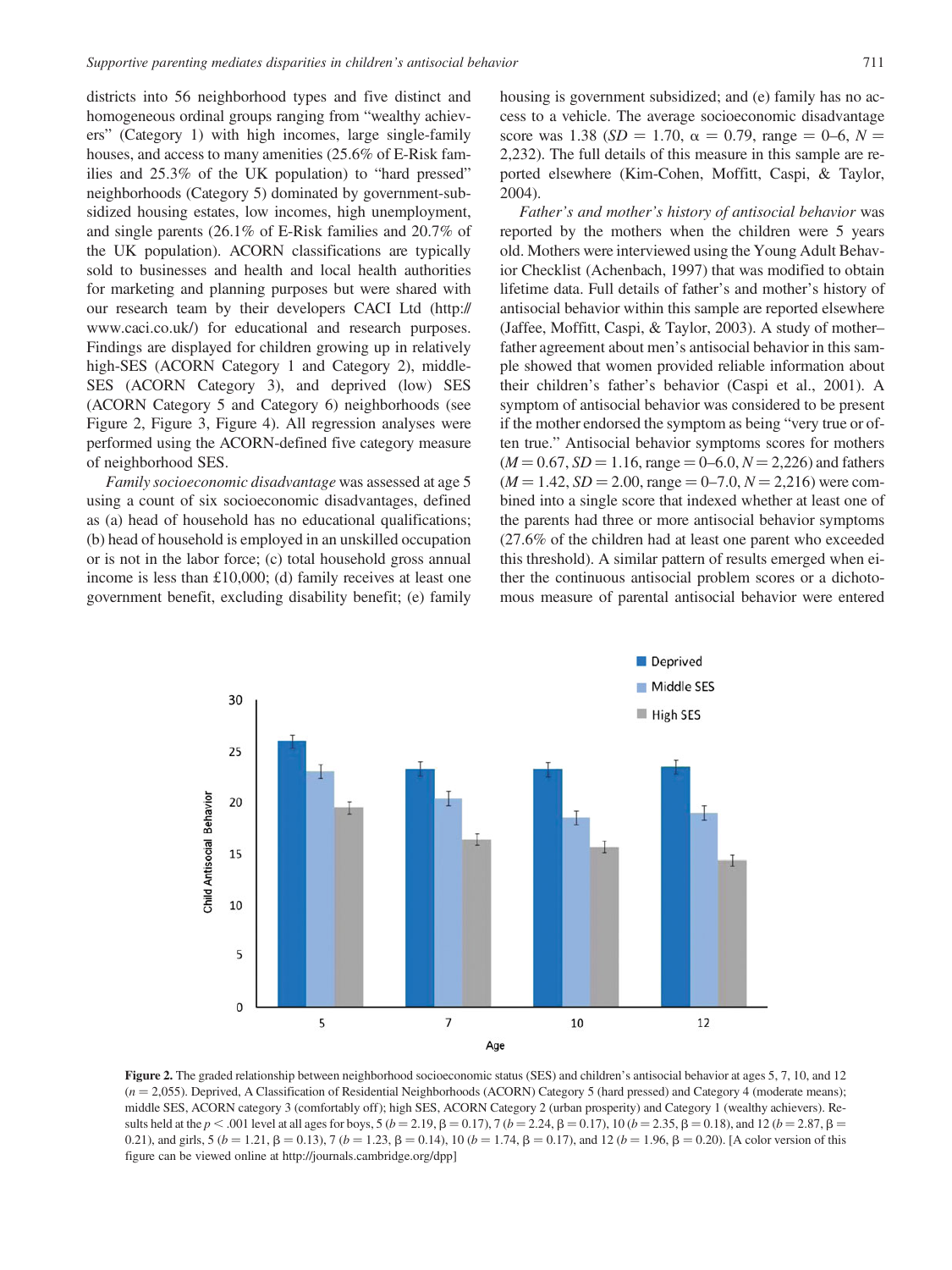districts into 56 neighborhood types and five distinct and homogeneous ordinal groups ranging from "wealthy achievers" (Category 1) with high incomes, large single-family houses, and access to many amenities (25.6% of E-Risk families and 25.3% of the UK population) to "hard pressed" neighborhoods (Category 5) dominated by government-subsidized housing estates, low incomes, high unemployment, and single parents (26.1% of E-Risk families and 20.7% of the UK population). ACORN classifications are typically sold to businesses and health and local health authorities for marketing and planning purposes but were shared with our research team by their developers CACI Ltd (http:// www.caci.co.uk/) for educational and research purposes. Findings are displayed for children growing up in relatively high-SES (ACORN Category 1 and Category 2), middle-SES (ACORN Category 3), and deprived (low) SES (ACORN Category 5 and Category 6) neighborhoods (see Figure 2, Figure 3, Figure 4). All regression analyses were performed using the ACORN-defined five category measure of neighborhood SES.

Family socioeconomic disadvantage was assessed at age 5 using a count of six socioeconomic disadvantages, defined as (a) head of household has no educational qualifications; (b) head of household is employed in an unskilled occupation or is not in the labor force; (c) total household gross annual income is less than £10,000; (d) family receives at least one government benefit, excluding disability benefit; (e) family

housing is government subsidized; and (e) family has no access to a vehicle. The average socioeconomic disadvantage score was 1.38 (SD = 1.70,  $\alpha = 0.79$ , range = 0–6, N = 2,232). The full details of this measure in this sample are reported elsewhere (Kim-Cohen, Moffitt, Caspi, & Taylor, 2004).

Father's and mother's history of antisocial behavior was reported by the mothers when the children were 5 years old. Mothers were interviewed using the Young Adult Behavior Checklist (Achenbach, 1997) that was modified to obtain lifetime data. Full details of father's and mother's history of antisocial behavior within this sample are reported elsewhere (Jaffee, Moffitt, Caspi, & Taylor, 2003). A study of mother– father agreement about men's antisocial behavior in this sample showed that women provided reliable information about their children's father's behavior (Caspi et al., 2001). A symptom of antisocial behavior was considered to be present if the mother endorsed the symptom as being "very true or often true." Antisocial behavior symptoms scores for mothers  $(M = 0.67, SD = 1.16, range = 0-6.0, N = 2,226)$  and fathers  $(M = 1.42, SD = 2.00, range = 0–7.0, N = 2.216)$  were combined into a single score that indexed whether at least one of the parents had three or more antisocial behavior symptoms (27.6% of the children had at least one parent who exceeded this threshold). A similar pattern of results emerged when either the continuous antisocial problem scores or a dichotomous measure of parental antisocial behavior were entered



Figure 2. The graded relationship between neighborhood socioeconomic status (SES) and children's antisocial behavior at ages 5, 7, 10, and 12  $(n = 2,055)$ . Deprived, A Classification of Residential Neighborhoods (ACORN) Category 5 (hard pressed) and Category 4 (moderate means); middle SES, ACORN category 3 (comfortably off); high SES, ACORN Category 2 (urban prosperity) and Category 1 (wealthy achievers). Results held at the  $p < .001$  level at all ages for boys,  $5 (b = 2.19, \beta = 0.17), 7 (b = 2.24, \beta = 0.17), 10 (b = 2.35, \beta = 0.18),$  and  $12 (b = 2.87, \beta = 0.17)$ 0.21), and girls, 5 ( $b = 1.21$ ,  $\beta = 0.13$ ), 7 ( $b = 1.23$ ,  $\beta = 0.14$ ), 10 ( $b = 1.74$ ,  $\beta = 0.17$ ), and 12 ( $b = 1.96$ ,  $\beta = 0.20$ ). [A color version of this figure can be viewed online at http://journals.cambridge.org/dpp]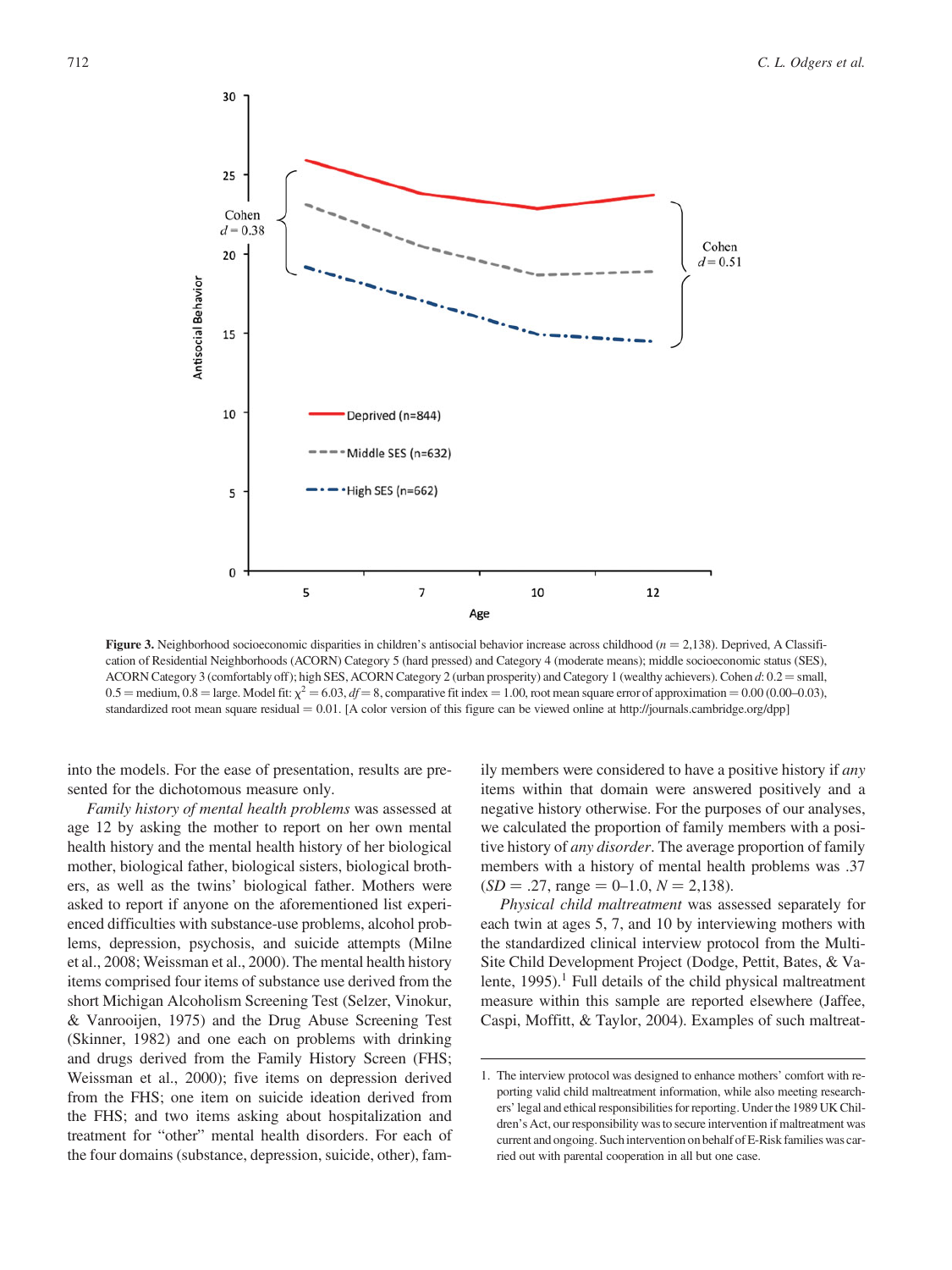

**Figure 3.** Neighborhood socioeconomic disparities in children's antisocial behavior increase across childhood ( $n = 2.138$ ). Deprived, A Classification of Residential Neighborhoods (ACORN) Category 5 (hard pressed) and Category 4 (moderate means); middle socioeconomic status (SES), ACORN Category 3 (comfortably off); high SES, ACORN Category 2 (urban prosperity) and Category 1 (wealthy achievers). Cohen d: 0.2 = small,  $0.5$  = medium,  $0.8$  = large. Model fit:  $\chi^2$  = 6.03,  $df$  = 8, comparative fit index = 1.00, root mean square error of approximation = 0.00 (0.00–0.03), standardized root mean square residual = 0.01. [A color version of this figure can be viewed online at http://journals.cambridge.org/dpp]

into the models. For the ease of presentation, results are presented for the dichotomous measure only.

Family history of mental health problems was assessed at age 12 by asking the mother to report on her own mental health history and the mental health history of her biological mother, biological father, biological sisters, biological brothers, as well as the twins' biological father. Mothers were asked to report if anyone on the aforementioned list experienced difficulties with substance-use problems, alcohol problems, depression, psychosis, and suicide attempts (Milne et al., 2008; Weissman et al., 2000). The mental health history items comprised four items of substance use derived from the short Michigan Alcoholism Screening Test (Selzer, Vinokur, & Vanrooijen, 1975) and the Drug Abuse Screening Test (Skinner, 1982) and one each on problems with drinking and drugs derived from the Family History Screen (FHS; Weissman et al., 2000); five items on depression derived from the FHS; one item on suicide ideation derived from the FHS; and two items asking about hospitalization and treatment for "other" mental health disorders. For each of the four domains (substance, depression, suicide, other), family members were considered to have a positive history if any items within that domain were answered positively and a negative history otherwise. For the purposes of our analyses, we calculated the proportion of family members with a positive history of *any disorder*. The average proportion of family members with a history of mental health problems was .37  $(SD = .27, \text{range} = 0-1.0, N = 2,138).$ 

Physical child maltreatment was assessed separately for each twin at ages 5, 7, and 10 by interviewing mothers with the standardized clinical interview protocol from the Multi-Site Child Development Project (Dodge, Pettit, Bates, & Valente,  $1995$ ).<sup>1</sup> Full details of the child physical maltreatment measure within this sample are reported elsewhere (Jaffee, Caspi, Moffitt, & Taylor, 2004). Examples of such maltreat-

<sup>1.</sup> The interview protocol was designed to enhance mothers' comfort with reporting valid child maltreatment information, while also meeting researchers' legal and ethical responsibilities for reporting. Under the 1989 UK Children's Act, our responsibility was to secure intervention if maltreatment was current and ongoing. Such intervention on behalf of E-Risk families was carried out with parental cooperation in all but one case.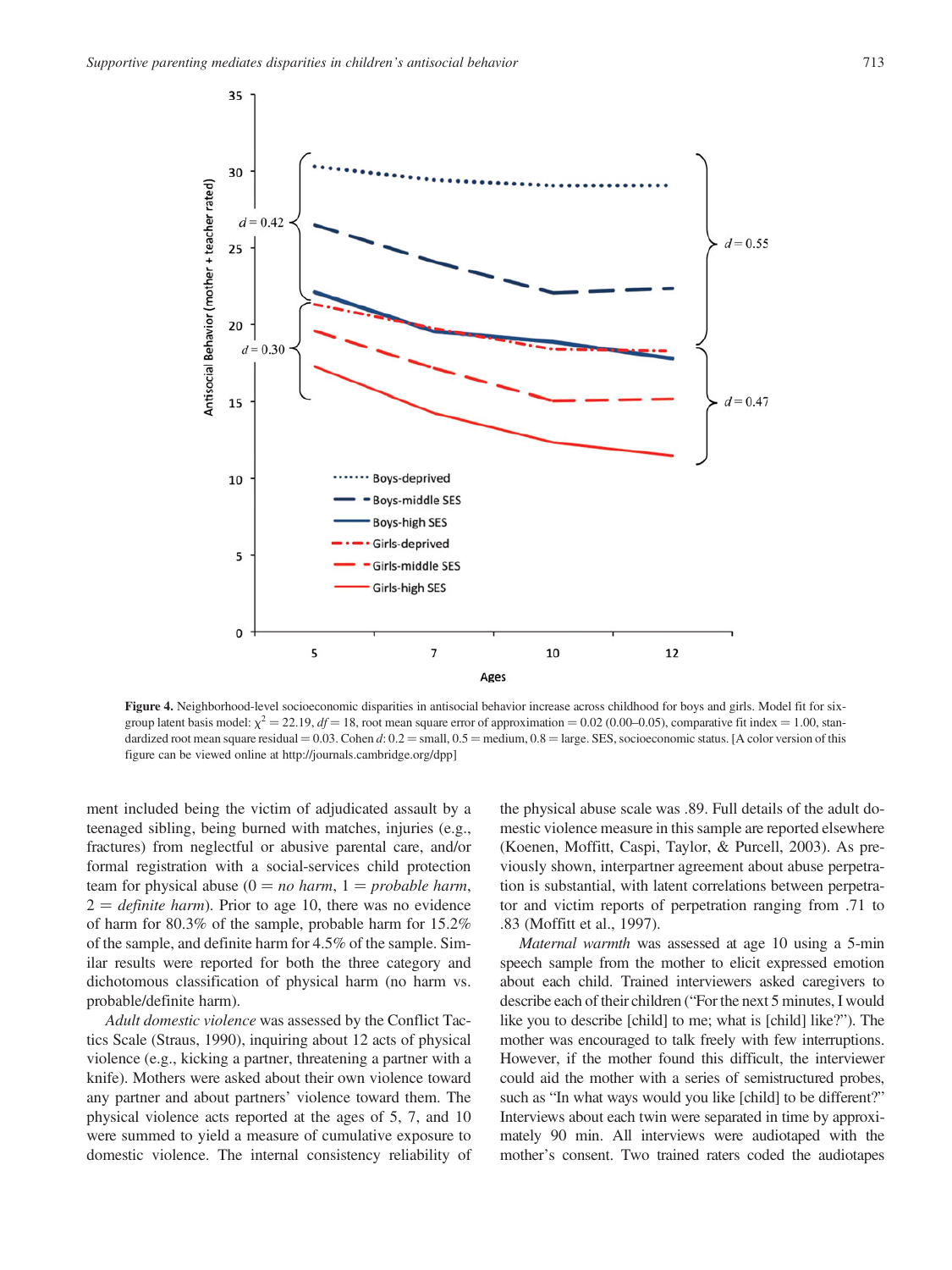

Figure 4. Neighborhood-level socioeconomic disparities in antisocial behavior increase across childhood for boys and girls. Model fit for sixgroup latent basis model:  $\chi^2 = 22.19$ ,  $df = 18$ , root mean square error of approximation = 0.02 (0.00–0.05), comparative fit index = 1.00, standardized root mean square residual = 0.03. Cohen d:  $0.2$  = small,  $0.5$  = medium,  $0.8$  = large. SES, socioeconomic status. [A color version of this figure can be viewed online at http://journals.cambridge.org/dpp]

ment included being the victim of adjudicated assault by a teenaged sibling, being burned with matches, injuries (e.g., fractures) from neglectful or abusive parental care, and/or formal registration with a social-services child protection team for physical abuse  $(0 = no \, \text{harm}, 1 = \text{probable} \, \text{harm},$  $2 =$  definite harm). Prior to age 10, there was no evidence of harm for 80.3% of the sample, probable harm for 15.2% of the sample, and definite harm for 4.5% of the sample. Similar results were reported for both the three category and dichotomous classification of physical harm (no harm vs. probable/definite harm).

Adult domestic violence was assessed by the Conflict Tactics Scale (Straus, 1990), inquiring about 12 acts of physical violence (e.g., kicking a partner, threatening a partner with a knife). Mothers were asked about their own violence toward any partner and about partners' violence toward them. The physical violence acts reported at the ages of 5, 7, and 10 were summed to yield a measure of cumulative exposure to domestic violence. The internal consistency reliability of

the physical abuse scale was .89. Full details of the adult domestic violence measure in this sample are reported elsewhere (Koenen, Moffitt, Caspi, Taylor, & Purcell, 2003). As previously shown, interpartner agreement about abuse perpetration is substantial, with latent correlations between perpetrator and victim reports of perpetration ranging from .71 to .83 (Moffitt et al., 1997).

Maternal warmth was assessed at age 10 using a 5-min speech sample from the mother to elicit expressed emotion about each child. Trained interviewers asked caregivers to describe each of their children ("For the next 5 minutes, I would like you to describe [child] to me; what is [child] like?"). The mother was encouraged to talk freely with few interruptions. However, if the mother found this difficult, the interviewer could aid the mother with a series of semistructured probes, such as "In what ways would you like [child] to be different?" Interviews about each twin were separated in time by approximately 90 min. All interviews were audiotaped with the mother's consent. Two trained raters coded the audiotapes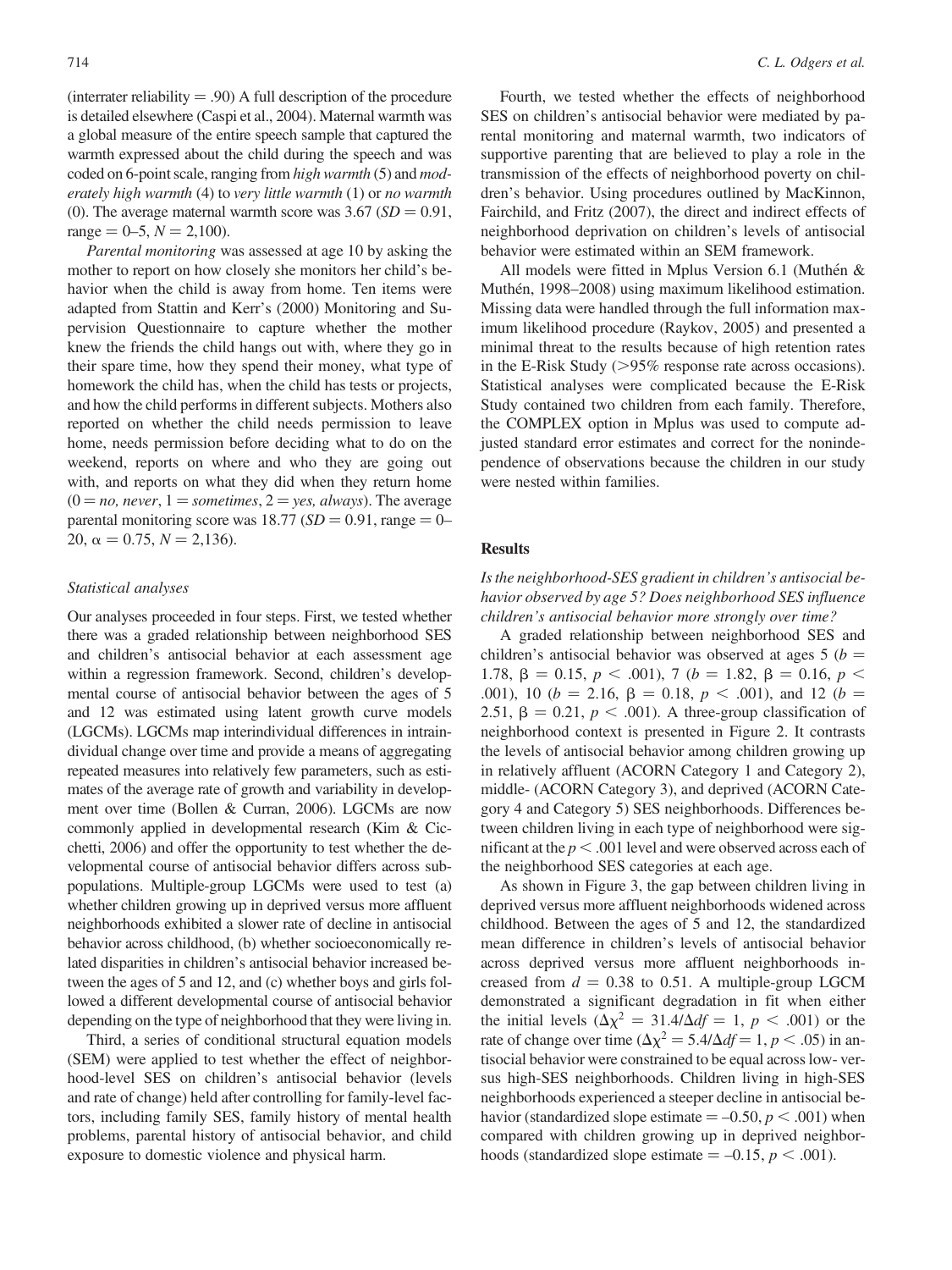(interrater reliability  $= .90$ ) A full description of the procedure is detailed elsewhere (Caspi et al., 2004). Maternal warmth was a global measure of the entire speech sample that captured the warmth expressed about the child during the speech and was coded on 6-point scale, ranging from high warmth (5) and moderately high warmth (4) to very little warmth (1) or no warmth (0). The average maternal warmth score was  $3.67$  ( $SD = 0.91$ , range  $= 0-5$ ,  $N = 2,100$ ).

Parental monitoring was assessed at age 10 by asking the mother to report on how closely she monitors her child's behavior when the child is away from home. Ten items were adapted from Stattin and Kerr's (2000) Monitoring and Supervision Questionnaire to capture whether the mother knew the friends the child hangs out with, where they go in their spare time, how they spend their money, what type of homework the child has, when the child has tests or projects, and how the child performs in different subjects. Mothers also reported on whether the child needs permission to leave home, needs permission before deciding what to do on the weekend, reports on where and who they are going out with, and reports on what they did when they return home  $(0 = no, never, 1 = sometimes, 2 = yes, always).$  The average parental monitoring score was 18.77 ( $SD = 0.91$ , range  $= 0 20, \alpha = 0.75, N = 2,136.$ 

### Statistical analyses

Our analyses proceeded in four steps. First, we tested whether there was a graded relationship between neighborhood SES and children's antisocial behavior at each assessment age within a regression framework. Second, children's developmental course of antisocial behavior between the ages of 5 and 12 was estimated using latent growth curve models (LGCMs). LGCMs map interindividual differences in intraindividual change over time and provide a means of aggregating repeated measures into relatively few parameters, such as estimates of the average rate of growth and variability in development over time (Bollen & Curran, 2006). LGCMs are now commonly applied in developmental research (Kim & Cicchetti, 2006) and offer the opportunity to test whether the developmental course of antisocial behavior differs across subpopulations. Multiple-group LGCMs were used to test (a) whether children growing up in deprived versus more affluent neighborhoods exhibited a slower rate of decline in antisocial behavior across childhood, (b) whether socioeconomically related disparities in children's antisocial behavior increased between the ages of 5 and 12, and (c) whether boys and girls followed a different developmental course of antisocial behavior depending on the type of neighborhood that they were living in.

Third, a series of conditional structural equation models (SEM) were applied to test whether the effect of neighborhood-level SES on children's antisocial behavior (levels and rate of change) held after controlling for family-level factors, including family SES, family history of mental health problems, parental history of antisocial behavior, and child exposure to domestic violence and physical harm.

Fourth, we tested whether the effects of neighborhood SES on children's antisocial behavior were mediated by parental monitoring and maternal warmth, two indicators of supportive parenting that are believed to play a role in the transmission of the effects of neighborhood poverty on children's behavior. Using procedures outlined by MacKinnon, Fairchild, and Fritz (2007), the direct and indirect effects of neighborhood deprivation on children's levels of antisocial behavior were estimated within an SEM framework.

All models were fitted in Mplus Version 6.1 (Muthén  $\&$ Muthén, 1998–2008) using maximum likelihood estimation. Missing data were handled through the full information maximum likelihood procedure (Raykov, 2005) and presented a minimal threat to the results because of high retention rates in the E-Risk Study  $(>\frac{95}{%}$  response rate across occasions). Statistical analyses were complicated because the E-Risk Study contained two children from each family. Therefore, the COMPLEX option in Mplus was used to compute adjusted standard error estimates and correct for the nonindependence of observations because the children in our study were nested within families.

#### Results

Is the neighborhood-SES gradient in children's antisocial behavior observed by age 5? Does neighborhood SES influence children's antisocial behavior more strongly over time?

A graded relationship between neighborhood SES and children's antisocial behavior was observed at ages  $5 (b =$ 1.78,  $\beta = 0.15$ ,  $p < .001$ ), 7 ( $b = 1.82$ ,  $\beta = 0.16$ ,  $p <$ .001), 10 ( $b = 2.16$ ,  $\beta = 0.18$ ,  $p < .001$ ), and 12 ( $b =$ 2.51,  $\beta = 0.21$ ,  $p < .001$ ). A three-group classification of neighborhood context is presented in Figure 2. It contrasts the levels of antisocial behavior among children growing up in relatively affluent (ACORN Category 1 and Category 2), middle- (ACORN Category 3), and deprived (ACORN Category 4 and Category 5) SES neighborhoods. Differences between children living in each type of neighborhood were significant at the  $p < .001$  level and were observed across each of the neighborhood SES categories at each age.

As shown in Figure 3, the gap between children living in deprived versus more affluent neighborhoods widened across childhood. Between the ages of 5 and 12, the standardized mean difference in children's levels of antisocial behavior across deprived versus more affluent neighborhoods increased from  $d = 0.38$  to 0.51. A multiple-group LGCM demonstrated a significant degradation in fit when either the initial levels  $(\Delta \chi^2 = 31.4/\Delta df = 1, p < .001)$  or the rate of change over time ( $\Delta \chi^2 = 5.4/\Delta df = 1, p < .05$ ) in antisocial behavior were constrained to be equal across low- versus high-SES neighborhoods. Children living in high-SES neighborhoods experienced a steeper decline in antisocial behavior (standardized slope estimate  $= -0.50, p < .001$ ) when compared with children growing up in deprived neighborhoods (standardized slope estimate  $= -0.15$ ,  $p < .001$ ).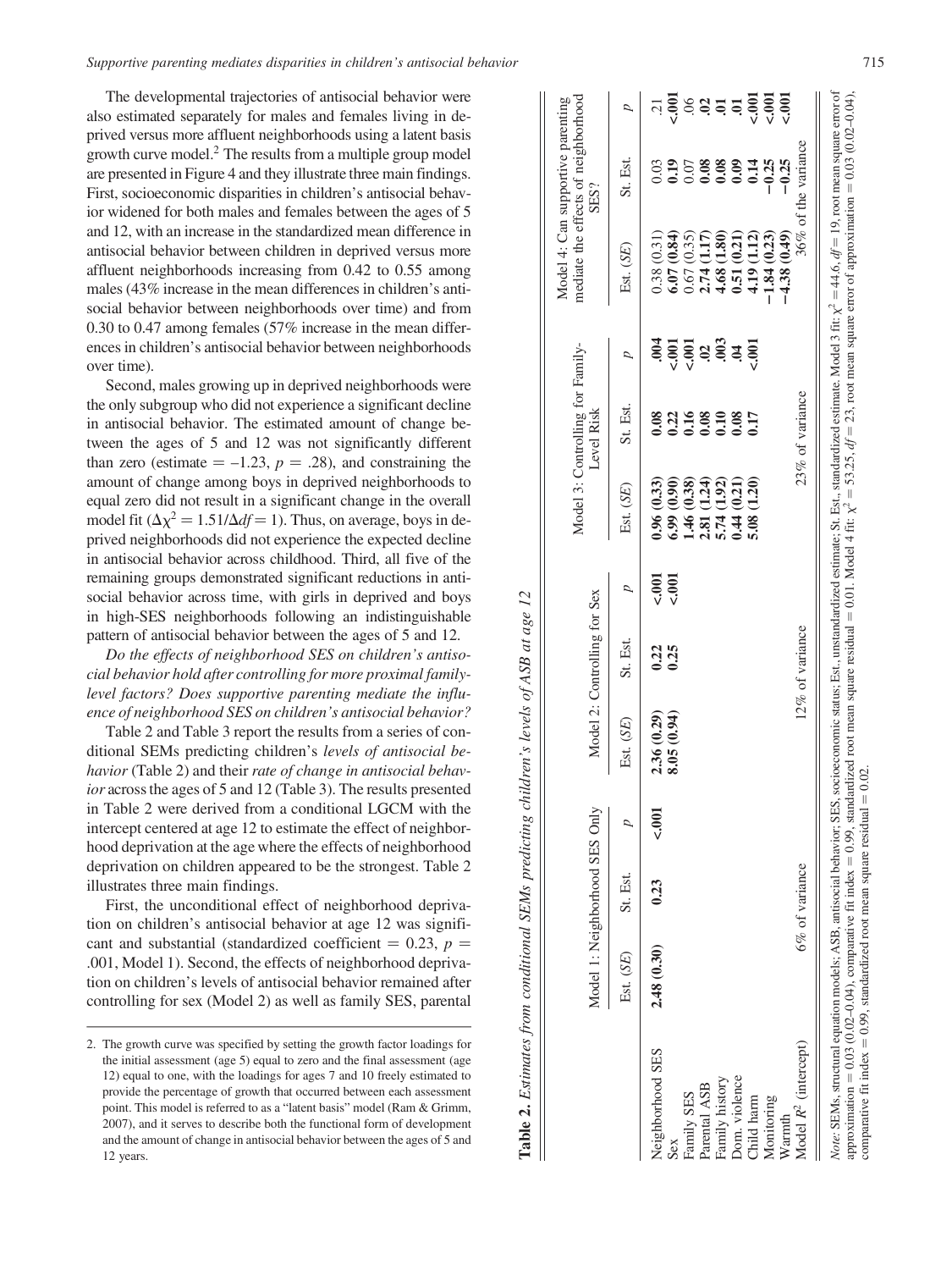The developmental trajectories of antisocial behavior were also estimated separately for males and females living in deprived versus more affluent neighborhoods using a latent basis growth curve model. $<sup>2</sup>$  The results from a multiple group model</sup> are presented in Figure 4 and they illustrate three main findings. First, socioeconomic disparities in children's antisocial behavior widened for both males and females between the ages of 5 and 12, with an increase in the standardized mean difference in antisocial behavior between children in deprived versus more affluent neighborhoods increasing from 0.42 to 0.55 among males (43% increase in the mean differences in children's antisocial behavior between neighborhoods over time) and from 0.30 to 0.47 among females (57% increase in the mean differences in children's antisocial behavior between neighborhoods over time).

Second, males growing up in deprived neighborhoods were the only subgroup who did not experience a significant decline in antisocial behavior. The estimated amount of change between the ages of 5 and 12 was not significantly different than zero (estimate  $= -1.23$ ,  $p = .28$ ), and constraining the amount of change among boys in deprived neighborhoods to equal zero did not result in a significant change in the overall model fit ( $\Delta \chi^2 = 1.51/\Delta df = 1$ ). Thus, on average, boys in deprived neighborhoods did not experience the expected decline in antisocial behavior across childhood. Third, all five of the remaining groups demonstrated significant reductions in antisocial behavior across time, with girls in deprived and boys in high-SES neighborhoods following an indistinguishable pattern of antisocial behavior between the ages of 5 and 12.

Do the effects of neighborhood SES on children's antisocial behavior hold after controlling for more proximal familylevel factors? Does supportive parenting mediate the influence of neighborhood SES on children's antisocial behavior?

Table 2 and Table 3 report the results from a series of conditional SEMs predicting children's levels of antisocial behavior (Table 2) and their rate of change in antisocial behavior across the ages of 5 and 12 (Table 3). The results presented in Table 2 were derived from a conditional LGCM with the intercept centered at age 12 to estimate the effect of neighborhood deprivation at the age where the effects of neighborhood deprivation on children appeared to be the strongest. Table 2 illustrates three main findings.

First, the unconditional effect of neighborhood deprivation on children's antisocial behavior at age 12 was significant and substantial (standardized coefficient  $= 0.23$ ,  $p =$ .001, Model 1). Second, the effects of neighborhood deprivation on children's levels of antisocial behavior remained after controlling for sex (Model 2) as well as family SES, parental

<sup>2.</sup> The growth curve was specified by setting the growth factor loadings for the initial assessment (age 5) equal to zero and the final assessment (age 12) equal to one, with the loadings for ages 7 and 10 freely estimated to provide the percentage of growth that occurred between each assessment point. This model is referred to as a "latent basis" model (Ram & Grimm, 2007), and it serves to describe both the functional form of development and the amount of change in antisocial behavior between the ages of 5 and 12 years.

|                | 36% of the variance |                                     |                               | 23% of variance |                                                                                                                                                    |                | 12% of variance              |             |       | 6% of variance |                                | Model $R^2$ (intercept) |
|----------------|---------------------|-------------------------------------|-------------------------------|-----------------|----------------------------------------------------------------------------------------------------------------------------------------------------|----------------|------------------------------|-------------|-------|----------------|--------------------------------|-------------------------|
| $-001$         | $-0.25$             | $-4.38(0.49)$                       |                               |                 |                                                                                                                                                    |                |                              |             |       |                |                                | Monitoring<br>Warmth    |
| 100:           | $-0.25$             | $-1.84(0.23)$                       |                               |                 |                                                                                                                                                    |                |                              |             |       |                |                                | Child harm              |
| $-001$         | 0.09<br>0.14        | 0.51(0.21)<br>4.19 (1.12)           | $-001$<br>$\ddot{\mathbf{5}}$ | 0.08<br>0.17    | $\begin{array}{c} 6.99 & (0.90) \\ 1.46 & (0.38) \\ 2.81 & (1.24) \\ 5.74 & (1.92) \\ 6.44 & (0.21) \\ 6.44 & (0.21) \\ 5.08 & (1.20) \end{array}$ |                |                              |             |       |                |                                | Dom. violence           |
| 8855           | 0.08                |                                     | .003                          | 0.10            |                                                                                                                                                    |                |                              |             |       |                |                                | Family history          |
|                | 0.08                | 2.74 (1.17)<br>4.68 (1.80)          | $\ddot{\mathrm{S}}$           | 0.08            |                                                                                                                                                    |                |                              |             |       |                |                                | Parental ASB            |
|                | 0.07                | 0.67(0.35)                          | $-001$                        | 0.16            |                                                                                                                                                    |                |                              |             |       |                |                                | Family SES              |
| $\ddot{0}0$    | 0.19                | 6.07(0.84)                          | 100                           | 0.22            |                                                                                                                                                    | 5001           | 0.25                         | 8.05 (0.94) |       |                |                                | Sex                     |
| $\overline{c}$ | 0.03                | 0.38(0.31)                          | .004                          | 0.08            | 0.96(0.33)                                                                                                                                         | $-0.001$       | 0.22                         | 2.36(0.29)  | 5.001 | 0.23           | 2.48(0.30)                     | Neighborhood SES        |
|                | St. Est.            | Est. (SE)                           | $\overline{a}$                | St. Est.        | Est. (SE)                                                                                                                                          | $\overline{a}$ | St. Est.                     | Est. (SE)   |       | St. Est.       | Est. (SE)                      |                         |
|                | SES?                | mediate the effects of neighborhood |                               | Level Risk      | Model 3: Controlling for Family-                                                                                                                   |                | Model 2: Controlling for Sex |             |       |                | Model 1: Neighborhood SES Only |                         |
|                |                     | Model 4: Can supportive parenting   |                               |                 |                                                                                                                                                    |                |                              |             |       |                |                                |                         |
|                |                     |                                     |                               |                 |                                                                                                                                                    |                |                              |             |       |                |                                |                         |

Table 2. Estimates from conditional SEMs predicting children's levels of ASB at age 12

Table 2. Estimates from conditional SEMs predicting children's levels of ASB at age 12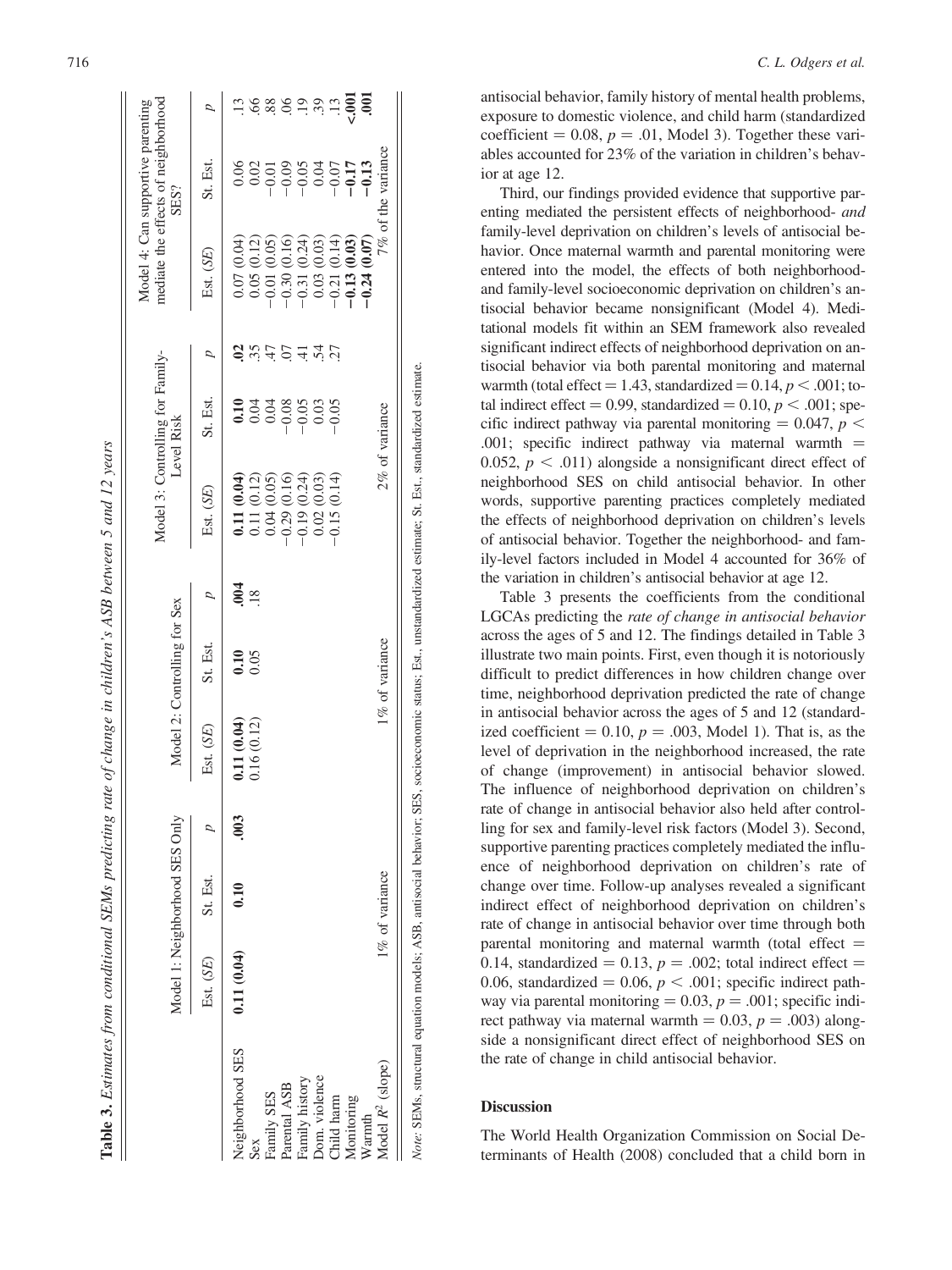|                                                                                                                                                              | Model 1: Neighborhood SES Only |                |      |            | Model 2: Controlling for Sex |                | Model 3: Controlling for Family- | Level Risk      |                | mediate the effects of neighborhood<br>Model 4: Can supportive parenting | SES?               |                |
|--------------------------------------------------------------------------------------------------------------------------------------------------------------|--------------------------------|----------------|------|------------|------------------------------|----------------|----------------------------------|-----------------|----------------|--------------------------------------------------------------------------|--------------------|----------------|
|                                                                                                                                                              | Est. (SE)                      | St. Est.       |      | Est. (SE)  | St. Est.                     | $\overline{a}$ | Est. (SE)                        | St. Est.        |                | Est. (SE)                                                                | St. Est.           |                |
| Neighborhood SES                                                                                                                                             | 0.11(0.04)                     | 0.10           | .003 | 0.11(0.04) | 0.10                         | .004           | 0.11(0.04)                       |                 |                | 0.07(0.04)                                                               | 0.06               |                |
| sec                                                                                                                                                          |                                |                |      | 0.16(0.12) | 0.05                         | 18             | 0.11(0.12)                       |                 | 35             | 0.05(0.12)                                                               | 0.02               |                |
| Family SES                                                                                                                                                   |                                |                |      |            |                              |                | 0.04(0.05)                       | $233$<br>$-0.5$ | 47             | $-0.01(0.05)$                                                            | $-0.01$            | $rac{88}{88}$  |
| Parental ASB                                                                                                                                                 |                                |                |      |            |                              |                | $-0.29(0.16)$                    | $-0.08$         | $\overline{0}$ | $-0.30(0.16)$                                                            | $-0.09$            |                |
| Family history                                                                                                                                               |                                |                |      |            |                              |                | $-0.19(0.24)$                    |                 | ਚ              | $-0.31(0.24)$                                                            | $-0.05$            | $\ddot{=}$     |
| Dom. violence                                                                                                                                                |                                |                |      |            |                              |                | 0.02(0.03)                       | 0.03            | $\ddot{54}$    | 0.03(0.03)                                                               | 0.04               | 39             |
| Child harm                                                                                                                                                   |                                |                |      |            |                              |                | $-0.15(0.14)$                    | $-0.05$         |                | $-0.21(0.14)$                                                            | $-0.07$            | $\frac{13}{2}$ |
| Monitoring                                                                                                                                                   |                                |                |      |            |                              |                |                                  |                 |                | $-0.13(0.03)$                                                            | $-0.17$            | <b>SS:</b>     |
| <b>Warnth</b>                                                                                                                                                |                                |                |      |            |                              |                |                                  |                 |                | $-0.24(0.07)$                                                            | $-0.13$            | <u>S</u>       |
| Model $R^2$ (slope)                                                                                                                                          |                                | 1% of variance |      |            | 1% of variance               |                |                                  | 2% of variance  |                |                                                                          | 7% of the variance |                |
| Note: SEMs, structural equation models; ASB, antisocial behavior; SES, socioeconomic status; Est., unstandardized estimate; St. Est., standardized estimate. |                                |                |      |            |                              |                |                                  |                 |                |                                                                          |                    |                |

antisocial behavior, family history of mental health problems, exposure to domestic violence, and child harm (standardized coefficient =  $0.08$ ,  $p = .01$ , Model 3). Together these variables accounted for 23% of the variation in children's behavior at age 12.

Third, our findings provided evidence that supportive parenting mediated the persistent effects of neighborhood- and family-level deprivation on children's levels of antisocial behavior. Once maternal warmth and parental monitoring were entered into the model, the effects of both neighborhoodand family-level socioeconomic deprivation on children's antisocial behavior became nonsignificant (Model 4). Meditational models fit within an SEM framework also revealed significant indirect effects of neighborhood deprivation on antisocial behavior via both parental monitoring and maternal warmth (total effect = 1.43, standardized =  $0.14, p < .001$ ; total indirect effect = 0.99, standardized = 0.10,  $p < .001$ ; specific indirect pathway via parental monitoring  $= 0.047$ ,  $p <$ .001; specific indirect pathway via maternal warmth = 0.052,  $p < .011$ ) alongside a nonsignificant direct effect of neighborhood SES on child antisocial behavior. In other words, supportive parenting practices completely mediated the effects of neighborhood deprivation on children's levels of antisocial behavior. Together the neighborhood- and family-level factors included in Model 4 accounted for 36% of the variation in children's antisocial behavior at age 12.

Table 3 presents the coefficients from the conditional LGCAs predicting the rate of change in antisocial behavior across the ages of 5 and 12. The findings detailed in Table 3 illustrate two main points. First, even though it is notoriously difficult to predict differences in how children change over time, neighborhood deprivation predicted the rate of change in antisocial behavior across the ages of 5 and 12 (standardized coefficient  $= 0.10$ ,  $p = .003$ , Model 1). That is, as the level of deprivation in the neighborhood increased, the rate of change (improvement) in antisocial behavior slowed. The influence of neighborhood deprivation on children's rate of change in antisocial behavior also held after controlling for sex and family-level risk factors (Model 3). Second, supportive parenting practices completely mediated the influence of neighborhood deprivation on children's rate of change over time. Follow-up analyses revealed a significant indirect effect of neighborhood deprivation on children's rate of change in antisocial behavior over time through both parental monitoring and maternal warmth (total effect = 0.14, standardized = 0.13,  $p = .002$ ; total indirect effect = 0.06, standardized = 0.06,  $p < .001$ ; specific indirect pathway via parental monitoring  $= 0.03, p = .001$ ; specific indirect pathway via maternal warmth  $= 0.03$ ,  $p = .003$ ) alongside a nonsignificant direct effect of neighborhood SES on the rate of change in child antisocial behavior.

## Discussion

The World Health Organization Commission on Social Determinants of Health (2008) concluded that a child born in

Table 3. Estimates from conditional SEMs predicting rate of change in children's ASB between 5 and 12 years

Estimates from conditional SEMs predicting rate of change in children's ASB between 5 and 12 years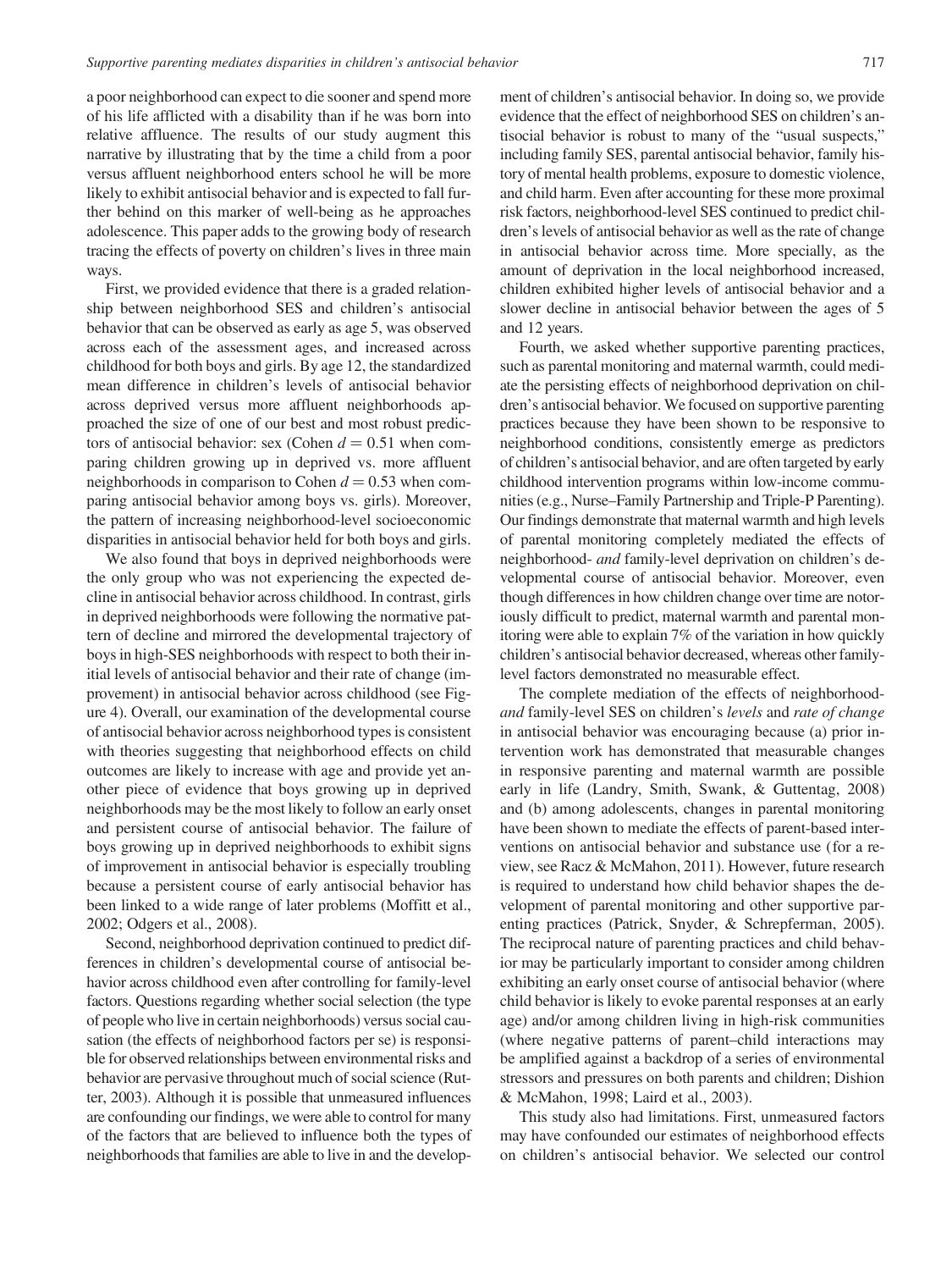a poor neighborhood can expect to die sooner and spend more of his life afflicted with a disability than if he was born into relative affluence. The results of our study augment this narrative by illustrating that by the time a child from a poor versus affluent neighborhood enters school he will be more likely to exhibit antisocial behavior and is expected to fall further behind on this marker of well-being as he approaches adolescence. This paper adds to the growing body of research tracing the effects of poverty on children's lives in three main ways.

First, we provided evidence that there is a graded relationship between neighborhood SES and children's antisocial behavior that can be observed as early as age 5, was observed across each of the assessment ages, and increased across childhood for both boys and girls. By age 12, the standardized mean difference in children's levels of antisocial behavior across deprived versus more affluent neighborhoods approached the size of one of our best and most robust predictors of antisocial behavior: sex (Cohen  $d = 0.51$  when comparing children growing up in deprived vs. more affluent neighborhoods in comparison to Cohen  $d = 0.53$  when comparing antisocial behavior among boys vs. girls). Moreover, the pattern of increasing neighborhood-level socioeconomic disparities in antisocial behavior held for both boys and girls.

We also found that boys in deprived neighborhoods were the only group who was not experiencing the expected decline in antisocial behavior across childhood. In contrast, girls in deprived neighborhoods were following the normative pattern of decline and mirrored the developmental trajectory of boys in high-SES neighborhoods with respect to both their initial levels of antisocial behavior and their rate of change (improvement) in antisocial behavior across childhood (see Figure 4). Overall, our examination of the developmental course of antisocial behavior across neighborhood types is consistent with theories suggesting that neighborhood effects on child outcomes are likely to increase with age and provide yet another piece of evidence that boys growing up in deprived neighborhoods may be the most likely to follow an early onset and persistent course of antisocial behavior. The failure of boys growing up in deprived neighborhoods to exhibit signs of improvement in antisocial behavior is especially troubling because a persistent course of early antisocial behavior has been linked to a wide range of later problems (Moffitt et al., 2002; Odgers et al., 2008).

Second, neighborhood deprivation continued to predict differences in children's developmental course of antisocial behavior across childhood even after controlling for family-level factors. Questions regarding whether social selection (the type of people who live in certain neighborhoods) versus social causation (the effects of neighborhood factors per se) is responsible for observed relationships between environmental risks and behavior are pervasive throughout much of social science (Rutter, 2003). Although it is possible that unmeasured influences are confounding our findings, we were able to control for many of the factors that are believed to influence both the types of neighborhoods that families are able to live in and the develop-

ment of children's antisocial behavior. In doing so, we provide evidence that the effect of neighborhood SES on children's antisocial behavior is robust to many of the "usual suspects," including family SES, parental antisocial behavior, family history of mental health problems, exposure to domestic violence, and child harm. Even after accounting for these more proximal risk factors, neighborhood-level SES continued to predict children's levels of antisocial behavior as well as the rate of change in antisocial behavior across time. More specially, as the amount of deprivation in the local neighborhood increased, children exhibited higher levels of antisocial behavior and a slower decline in antisocial behavior between the ages of 5 and 12 years.

Fourth, we asked whether supportive parenting practices, such as parental monitoring and maternal warmth, could mediate the persisting effects of neighborhood deprivation on children's antisocial behavior. We focused on supportive parenting practices because they have been shown to be responsive to neighborhood conditions, consistently emerge as predictors of children's antisocial behavior, and are often targeted by early childhood intervention programs within low-income communities (e.g., Nurse–Family Partnership and Triple-P Parenting). Our findings demonstrate that maternal warmth and high levels of parental monitoring completely mediated the effects of neighborhood- and family-level deprivation on children's developmental course of antisocial behavior. Moreover, even though differences in how children change over time are notoriously difficult to predict, maternal warmth and parental monitoring were able to explain 7% of the variation in how quickly children's antisocial behavior decreased, whereas other familylevel factors demonstrated no measurable effect.

The complete mediation of the effects of neighborhoodand family-level SES on children's levels and rate of change in antisocial behavior was encouraging because (a) prior intervention work has demonstrated that measurable changes in responsive parenting and maternal warmth are possible early in life (Landry, Smith, Swank, & Guttentag, 2008) and (b) among adolescents, changes in parental monitoring have been shown to mediate the effects of parent-based interventions on antisocial behavior and substance use (for a review, see Racz & McMahon, 2011). However, future research is required to understand how child behavior shapes the development of parental monitoring and other supportive parenting practices (Patrick, Snyder, & Schrepferman, 2005). The reciprocal nature of parenting practices and child behavior may be particularly important to consider among children exhibiting an early onset course of antisocial behavior (where child behavior is likely to evoke parental responses at an early age) and/or among children living in high-risk communities (where negative patterns of parent–child interactions may be amplified against a backdrop of a series of environmental stressors and pressures on both parents and children; Dishion & McMahon, 1998; Laird et al., 2003).

This study also had limitations. First, unmeasured factors may have confounded our estimates of neighborhood effects on children's antisocial behavior. We selected our control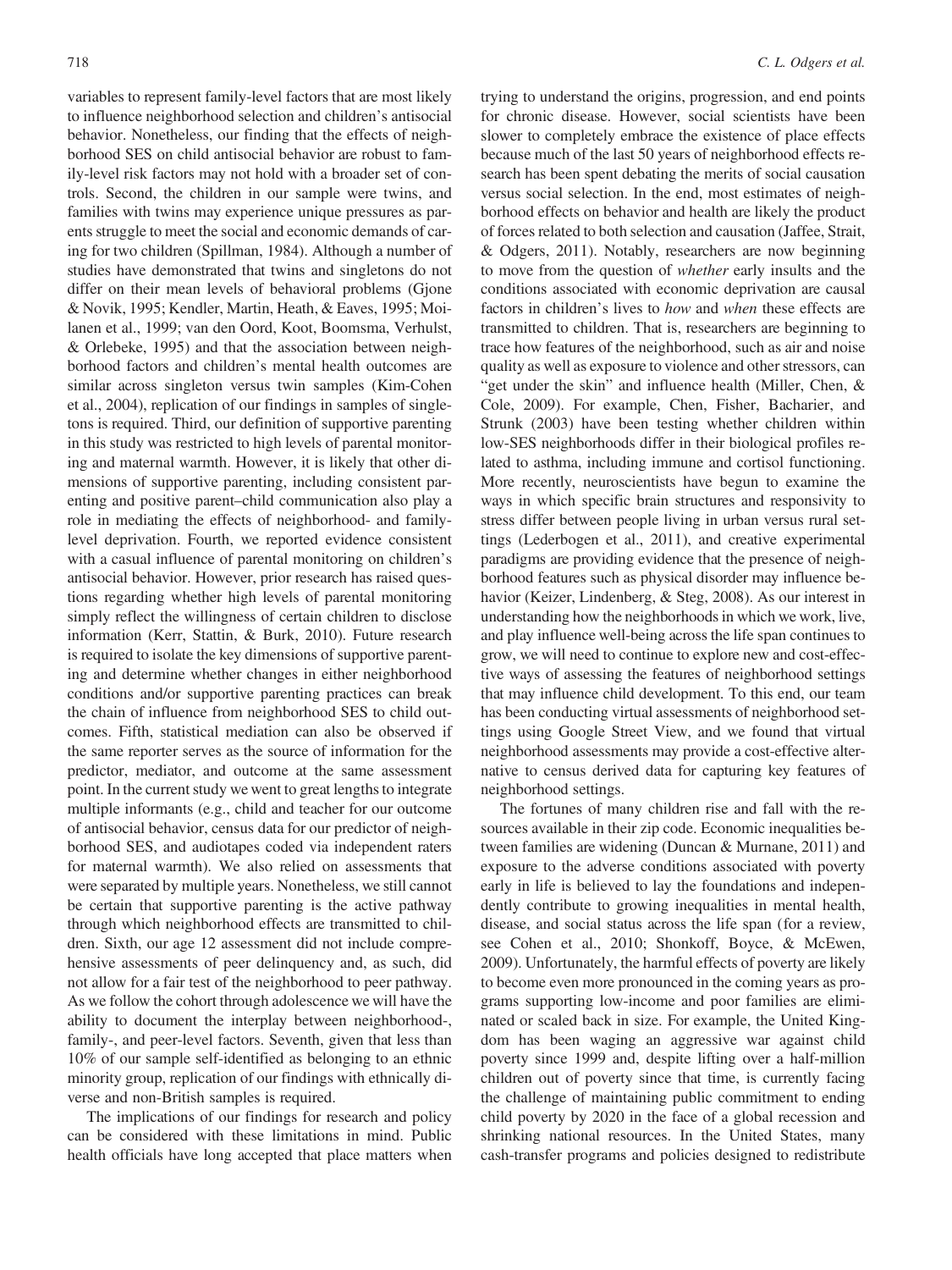variables to represent family-level factors that are most likely to influence neighborhood selection and children's antisocial behavior. Nonetheless, our finding that the effects of neighborhood SES on child antisocial behavior are robust to family-level risk factors may not hold with a broader set of controls. Second, the children in our sample were twins, and families with twins may experience unique pressures as parents struggle to meet the social and economic demands of caring for two children (Spillman, 1984). Although a number of studies have demonstrated that twins and singletons do not differ on their mean levels of behavioral problems (Gjone & Novik, 1995; Kendler, Martin, Heath, & Eaves, 1995; Moilanen et al., 1999; van den Oord, Koot, Boomsma, Verhulst, & Orlebeke, 1995) and that the association between neighborhood factors and children's mental health outcomes are similar across singleton versus twin samples (Kim-Cohen et al., 2004), replication of our findings in samples of singletons is required. Third, our definition of supportive parenting in this study was restricted to high levels of parental monitoring and maternal warmth. However, it is likely that other dimensions of supportive parenting, including consistent parenting and positive parent–child communication also play a role in mediating the effects of neighborhood- and familylevel deprivation. Fourth, we reported evidence consistent with a casual influence of parental monitoring on children's antisocial behavior. However, prior research has raised questions regarding whether high levels of parental monitoring simply reflect the willingness of certain children to disclose information (Kerr, Stattin, & Burk, 2010). Future research is required to isolate the key dimensions of supportive parenting and determine whether changes in either neighborhood conditions and/or supportive parenting practices can break the chain of influence from neighborhood SES to child outcomes. Fifth, statistical mediation can also be observed if the same reporter serves as the source of information for the predictor, mediator, and outcome at the same assessment point. In the current study we went to great lengths to integrate multiple informants (e.g., child and teacher for our outcome of antisocial behavior, census data for our predictor of neighborhood SES, and audiotapes coded via independent raters for maternal warmth). We also relied on assessments that were separated by multiple years. Nonetheless, we still cannot be certain that supportive parenting is the active pathway through which neighborhood effects are transmitted to children. Sixth, our age 12 assessment did not include comprehensive assessments of peer delinquency and, as such, did not allow for a fair test of the neighborhood to peer pathway. As we follow the cohort through adolescence we will have the ability to document the interplay between neighborhood-, family-, and peer-level factors. Seventh, given that less than 10% of our sample self-identified as belonging to an ethnic minority group, replication of our findings with ethnically diverse and non-British samples is required.

The implications of our findings for research and policy can be considered with these limitations in mind. Public health officials have long accepted that place matters when

trying to understand the origins, progression, and end points for chronic disease. However, social scientists have been slower to completely embrace the existence of place effects because much of the last 50 years of neighborhood effects research has been spent debating the merits of social causation versus social selection. In the end, most estimates of neighborhood effects on behavior and health are likely the product of forces related to both selection and causation (Jaffee, Strait, & Odgers, 2011). Notably, researchers are now beginning to move from the question of whether early insults and the conditions associated with economic deprivation are causal factors in children's lives to *how* and *when* these effects are transmitted to children. That is, researchers are beginning to trace how features of the neighborhood, such as air and noise quality as well as exposure to violence and other stressors, can "get under the skin" and influence health (Miller, Chen, & Cole, 2009). For example, Chen, Fisher, Bacharier, and Strunk (2003) have been testing whether children within low-SES neighborhoods differ in their biological profiles related to asthma, including immune and cortisol functioning. More recently, neuroscientists have begun to examine the ways in which specific brain structures and responsivity to stress differ between people living in urban versus rural settings (Lederbogen et al., 2011), and creative experimental paradigms are providing evidence that the presence of neighborhood features such as physical disorder may influence behavior (Keizer, Lindenberg, & Steg, 2008). As our interest in understanding how the neighborhoods in which we work, live, and play influence well-being across the life span continues to grow, we will need to continue to explore new and cost-effective ways of assessing the features of neighborhood settings that may influence child development. To this end, our team has been conducting virtual assessments of neighborhood settings using Google Street View, and we found that virtual neighborhood assessments may provide a cost-effective alternative to census derived data for capturing key features of neighborhood settings.

The fortunes of many children rise and fall with the resources available in their zip code. Economic inequalities between families are widening (Duncan & Murnane, 2011) and exposure to the adverse conditions associated with poverty early in life is believed to lay the foundations and independently contribute to growing inequalities in mental health, disease, and social status across the life span (for a review, see Cohen et al., 2010; Shonkoff, Boyce, & McEwen, 2009). Unfortunately, the harmful effects of poverty are likely to become even more pronounced in the coming years as programs supporting low-income and poor families are eliminated or scaled back in size. For example, the United Kingdom has been waging an aggressive war against child poverty since 1999 and, despite lifting over a half-million children out of poverty since that time, is currently facing the challenge of maintaining public commitment to ending child poverty by 2020 in the face of a global recession and shrinking national resources. In the United States, many cash-transfer programs and policies designed to redistribute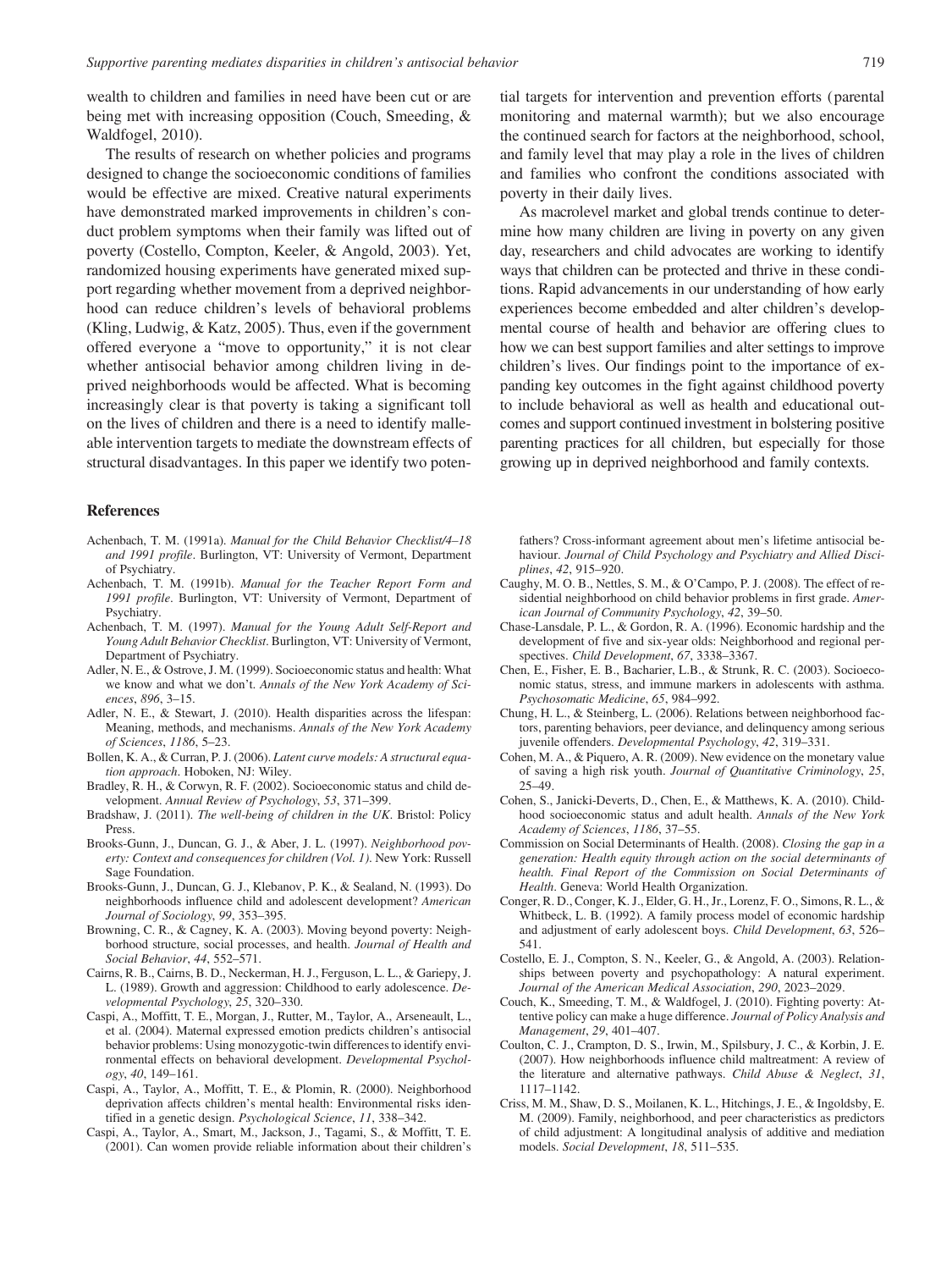wealth to children and families in need have been cut or are being met with increasing opposition (Couch, Smeeding, & Waldfogel, 2010).

The results of research on whether policies and programs designed to change the socioeconomic conditions of families would be effective are mixed. Creative natural experiments have demonstrated marked improvements in children's conduct problem symptoms when their family was lifted out of poverty (Costello, Compton, Keeler, & Angold, 2003). Yet, randomized housing experiments have generated mixed support regarding whether movement from a deprived neighborhood can reduce children's levels of behavioral problems (Kling, Ludwig, & Katz, 2005). Thus, even if the government offered everyone a "move to opportunity," it is not clear whether antisocial behavior among children living in deprived neighborhoods would be affected. What is becoming increasingly clear is that poverty is taking a significant toll on the lives of children and there is a need to identify malleable intervention targets to mediate the downstream effects of structural disadvantages. In this paper we identify two poten-

#### References

- Achenbach, T. M. (1991a). Manual for the Child Behavior Checklist/4–18 and 1991 profile. Burlington, VT: University of Vermont, Department of Psychiatry.
- Achenbach, T. M. (1991b). Manual for the Teacher Report Form and 1991 profile. Burlington, VT: University of Vermont, Department of Psychiatry.
- Achenbach, T. M. (1997). Manual for the Young Adult Self-Report and Young Adult Behavior Checklist. Burlington, VT: University of Vermont, Department of Psychiatry.
- Adler, N. E., & Ostrove, J. M. (1999). Socioeconomic status and health: What we know and what we don't. Annals of the New York Academy of Sciences, 896, 3–15.
- Adler, N. E., & Stewart, J. (2010). Health disparities across the lifespan: Meaning, methods, and mechanisms. Annals of the New York Academy of Sciences, 1186, 5–23.
- Bollen, K. A., & Curran, P. J. (2006). Latent curve models: A structural equation approach. Hoboken, NJ: Wiley.
- Bradley, R. H., & Corwyn, R. F. (2002). Socioeconomic status and child development. Annual Review of Psychology, 53, 371–399.
- Bradshaw, J. (2011). The well-being of children in the UK. Bristol: Policy Press.
- Brooks-Gunn, J., Duncan, G. J., & Aber, J. L. (1997). Neighborhood poverty: Context and consequences for children (Vol. 1). New York: Russell Sage Foundation.
- Brooks-Gunn, J., Duncan, G. J., Klebanov, P. K., & Sealand, N. (1993). Do neighborhoods influence child and adolescent development? American Journal of Sociology, 99, 353–395.
- Browning, C. R., & Cagney, K. A. (2003). Moving beyond poverty: Neighborhood structure, social processes, and health. Journal of Health and Social Behavior, 44, 552–571.
- Cairns, R. B., Cairns, B. D., Neckerman, H. J., Ferguson, L. L., & Gariepy, J. L. (1989). Growth and aggression: Childhood to early adolescence. Developmental Psychology, 25, 320–330.
- Caspi, A., Moffitt, T. E., Morgan, J., Rutter, M., Taylor, A., Arseneault, L., et al. (2004). Maternal expressed emotion predicts children's antisocial behavior problems: Using monozygotic-twin differences to identify environmental effects on behavioral development. Developmental Psychology, 40, 149–161.
- Caspi, A., Taylor, A., Moffitt, T. E., & Plomin, R. (2000). Neighborhood deprivation affects children's mental health: Environmental risks identified in a genetic design. Psychological Science, 11, 338–342.
- Caspi, A., Taylor, A., Smart, M., Jackson, J., Tagami, S., & Moffitt, T. E. (2001). Can women provide reliable information about their children's

tial targets for intervention and prevention efforts (parental monitoring and maternal warmth); but we also encourage the continued search for factors at the neighborhood, school, and family level that may play a role in the lives of children and families who confront the conditions associated with poverty in their daily lives.

As macrolevel market and global trends continue to determine how many children are living in poverty on any given day, researchers and child advocates are working to identify ways that children can be protected and thrive in these conditions. Rapid advancements in our understanding of how early experiences become embedded and alter children's developmental course of health and behavior are offering clues to how we can best support families and alter settings to improve children's lives. Our findings point to the importance of expanding key outcomes in the fight against childhood poverty to include behavioral as well as health and educational outcomes and support continued investment in bolstering positive parenting practices for all children, but especially for those growing up in deprived neighborhood and family contexts.

fathers? Cross-informant agreement about men's lifetime antisocial behaviour. Journal of Child Psychology and Psychiatry and Allied Disciplines, 42, 915–920.

- Caughy, M. O. B., Nettles, S. M., & O'Campo, P. J. (2008). The effect of residential neighborhood on child behavior problems in first grade. American Journal of Community Psychology, 42, 39–50.
- Chase-Lansdale, P. L., & Gordon, R. A. (1996). Economic hardship and the development of five and six-year olds: Neighborhood and regional perspectives. Child Development, 67, 3338–3367.
- Chen, E., Fisher, E. B., Bacharier, L.B., & Strunk, R. C. (2003). Socioeconomic status, stress, and immune markers in adolescents with asthma. Psychosomatic Medicine, 65, 984–992.
- Chung, H. L., & Steinberg, L. (2006). Relations between neighborhood factors, parenting behaviors, peer deviance, and delinquency among serious juvenile offenders. Developmental Psychology, 42, 319–331.
- Cohen, M. A., & Piquero, A. R. (2009). New evidence on the monetary value of saving a high risk youth. Journal of Quantitative Criminology, 25, 25–49.
- Cohen, S., Janicki-Deverts, D., Chen, E., & Matthews, K. A. (2010). Childhood socioeconomic status and adult health. Annals of the New York Academy of Sciences, 1186, 37–55.
- Commission on Social Determinants of Health. (2008). Closing the gap in a generation: Health equity through action on the social determinants of health. Final Report of the Commission on Social Determinants of Health. Geneva: World Health Organization.
- Conger, R. D., Conger, K. J., Elder, G. H., Jr., Lorenz, F. O., Simons, R. L., & Whitbeck, L. B. (1992). A family process model of economic hardship and adjustment of early adolescent boys. Child Development, 63, 526– 541.
- Costello, E. J., Compton, S. N., Keeler, G., & Angold, A. (2003). Relationships between poverty and psychopathology: A natural experiment. Journal of the American Medical Association, 290, 2023–2029.
- Couch, K., Smeeding, T. M., & Waldfogel, J. (2010). Fighting poverty: Attentive policy can make a huge difference. Journal of Policy Analysis and Management, 29, 401–407.
- Coulton, C. J., Crampton, D. S., Irwin, M., Spilsbury, J. C., & Korbin, J. E. (2007). How neighborhoods influence child maltreatment: A review of the literature and alternative pathways. Child Abuse & Neglect, 31, 1117–1142.
- Criss, M. M., Shaw, D. S., Moilanen, K. L., Hitchings, J. E., & Ingoldsby, E. M. (2009). Family, neighborhood, and peer characteristics as predictors of child adjustment: A longitudinal analysis of additive and mediation models. Social Development, 18, 511–535.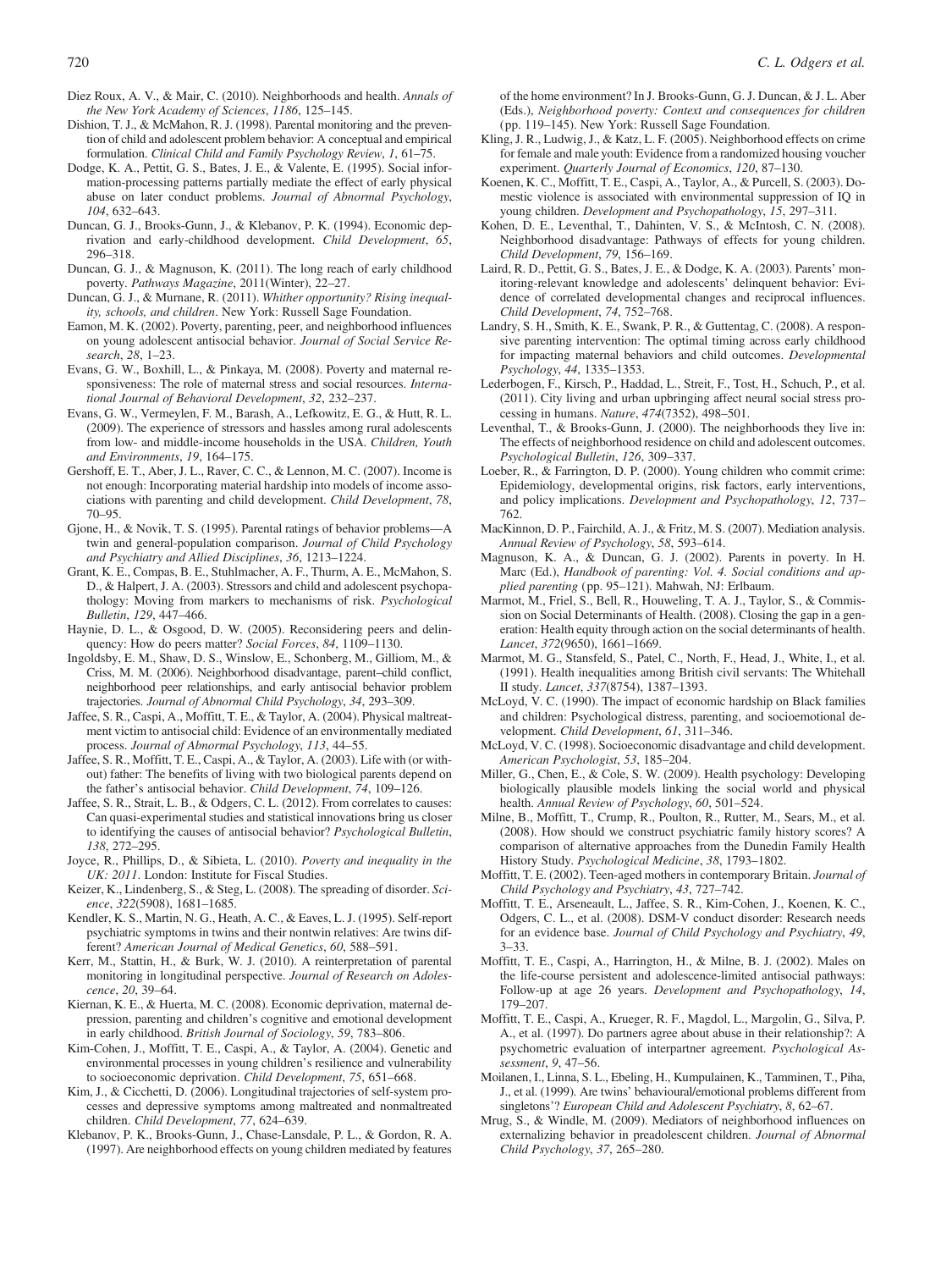- Diez Roux, A. V., & Mair, C. (2010). Neighborhoods and health. Annals of the New York Academy of Sciences, 1186, 125–145.
- Dishion, T. J., & McMahon, R. J. (1998). Parental monitoring and the prevention of child and adolescent problem behavior: A conceptual and empirical formulation. Clinical Child and Family Psychology Review, 1, 61–75.
- Dodge, K. A., Pettit, G. S., Bates, J. E., & Valente, E. (1995). Social information-processing patterns partially mediate the effect of early physical abuse on later conduct problems. Journal of Abnormal Psychology, 104, 632–643.
- Duncan, G. J., Brooks-Gunn, J., & Klebanov, P. K. (1994). Economic deprivation and early-childhood development. Child Development, 65, 296–318.
- Duncan, G. J., & Magnuson, K. (2011). The long reach of early childhood poverty. Pathways Magazine, 2011(Winter), 22–27.
- Duncan, G. J., & Murnane, R. (2011). Whither opportunity? Rising inequality, schools, and children. New York: Russell Sage Foundation.
- Eamon, M. K. (2002). Poverty, parenting, peer, and neighborhood influences on young adolescent antisocial behavior. Journal of Social Service Research, 28, 1–23.
- Evans, G. W., Boxhill, L., & Pinkaya, M. (2008). Poverty and maternal responsiveness: The role of maternal stress and social resources. International Journal of Behavioral Development, 32, 232–237.
- Evans, G. W., Vermeylen, F. M., Barash, A., Lefkowitz, E. G., & Hutt, R. L. (2009). The experience of stressors and hassles among rural adolescents from low- and middle-income households in the USA. Children, Youth and Environments, 19, 164–175.
- Gershoff, E. T., Aber, J. L., Raver, C. C., & Lennon, M. C. (2007). Income is not enough: Incorporating material hardship into models of income associations with parenting and child development. Child Development, 78, 70–95.
- Gjone, H., & Novik, T. S. (1995). Parental ratings of behavior problems—A twin and general-population comparison. Journal of Child Psychology and Psychiatry and Allied Disciplines, 36, 1213–1224.
- Grant, K. E., Compas, B. E., Stuhlmacher, A. F., Thurm, A. E., McMahon, S. D., & Halpert, J. A. (2003). Stressors and child and adolescent psychopathology: Moving from markers to mechanisms of risk. Psychological Bulletin, 129, 447–466.
- Haynie, D. L., & Osgood, D. W. (2005). Reconsidering peers and delinquency: How do peers matter? Social Forces, 84, 1109–1130.
- Ingoldsby, E. M., Shaw, D. S., Winslow, E., Schonberg, M., Gilliom, M., & Criss, M. M. (2006). Neighborhood disadvantage, parent–child conflict, neighborhood peer relationships, and early antisocial behavior problem trajectories. Journal of Abnormal Child Psychology, 34, 293–309.
- Jaffee, S. R., Caspi, A., Moffitt, T. E., & Taylor, A. (2004). Physical maltreatment victim to antisocial child: Evidence of an environmentally mediated process. Journal of Abnormal Psychology, 113, 44–55.
- Jaffee, S. R., Moffitt, T. E., Caspi, A., & Taylor, A. (2003). Life with (or without) father: The benefits of living with two biological parents depend on the father's antisocial behavior. Child Development, 74, 109–126.
- Jaffee, S. R., Strait, L. B., & Odgers, C. L. (2012). From correlates to causes: Can quasi-experimental studies and statistical innovations bring us closer to identifying the causes of antisocial behavior? Psychological Bulletin, 138, 272–295.
- Joyce, R., Phillips, D., & Sibieta, L. (2010). Poverty and inequality in the UK: 2011. London: Institute for Fiscal Studies.
- Keizer, K., Lindenberg, S., & Steg, L. (2008). The spreading of disorder. Science, 322(5908), 1681–1685.
- Kendler, K. S., Martin, N. G., Heath, A. C., & Eaves, L. J. (1995). Self-report psychiatric symptoms in twins and their nontwin relatives: Are twins different? American Journal of Medical Genetics, 60, 588–591.
- Kerr, M., Stattin, H., & Burk, W. J. (2010). A reinterpretation of parental monitoring in longitudinal perspective. Journal of Research on Adolescence, 20, 39–64.
- Kiernan, K. E., & Huerta, M. C. (2008). Economic deprivation, maternal depression, parenting and children's cognitive and emotional development in early childhood. British Journal of Sociology, 59, 783–806.
- Kim-Cohen, J., Moffitt, T. E., Caspi, A., & Taylor, A. (2004). Genetic and environmental processes in young children's resilience and vulnerability to socioeconomic deprivation. Child Development, 75, 651–668.
- Kim, J., & Cicchetti, D. (2006). Longitudinal trajectories of self-system processes and depressive symptoms among maltreated and nonmaltreated children. Child Development, 77, 624–639.
- Klebanov, P. K., Brooks-Gunn, J., Chase-Lansdale, P. L., & Gordon, R. A. (1997). Are neighborhood effects on young children mediated by features

of the home environment? In J. Brooks-Gunn, G. J. Duncan, & J. L. Aber (Eds.), Neighborhood poverty: Context and consequences for children (pp. 119–145). New York: Russell Sage Foundation.

- Kling, J. R., Ludwig, J., & Katz, L. F. (2005). Neighborhood effects on crime for female and male youth: Evidence from a randomized housing voucher experiment. Quarterly Journal of Economics, 120, 87–130.
- Koenen, K. C., Moffitt, T. E., Caspi, A., Taylor, A., & Purcell, S. (2003). Domestic violence is associated with environmental suppression of IQ in young children. Development and Psychopathology, 15, 297–311.
- Kohen, D. E., Leventhal, T., Dahinten, V. S., & McIntosh, C. N. (2008). Neighborhood disadvantage: Pathways of effects for young children. Child Development, 79, 156–169.
- Laird, R. D., Pettit, G. S., Bates, J. E., & Dodge, K. A. (2003). Parents' monitoring-relevant knowledge and adolescents' delinquent behavior: Evidence of correlated developmental changes and reciprocal influences. Child Development, 74, 752–768.
- Landry, S. H., Smith, K. E., Swank, P. R., & Guttentag, C. (2008). A responsive parenting intervention: The optimal timing across early childhood for impacting maternal behaviors and child outcomes. Developmental Psychology, 44, 1335–1353.
- Lederbogen, F., Kirsch, P., Haddad, L., Streit, F., Tost, H., Schuch, P., et al. (2011). City living and urban upbringing affect neural social stress processing in humans. Nature, 474(7352), 498–501.
- Leventhal, T., & Brooks-Gunn, J. (2000). The neighborhoods they live in: The effects of neighborhood residence on child and adolescent outcomes. Psychological Bulletin, 126, 309–337.
- Loeber, R., & Farrington, D. P. (2000). Young children who commit crime: Epidemiology, developmental origins, risk factors, early interventions, and policy implications. Development and Psychopathology, 12, 737– 762.
- MacKinnon, D. P., Fairchild, A. J., & Fritz, M. S. (2007). Mediation analysis. Annual Review of Psychology, 58, 593–614.
- Magnuson, K. A., & Duncan, G. J. (2002). Parents in poverty. In H. Marc (Ed.), Handbook of parenting: Vol. 4. Social conditions and applied parenting (pp. 95–121). Mahwah, NJ: Erlbaum.
- Marmot, M., Friel, S., Bell, R., Houweling, T. A. J., Taylor, S., & Commission on Social Determinants of Health. (2008). Closing the gap in a generation: Health equity through action on the social determinants of health. Lancet, 372(9650), 1661–1669.
- Marmot, M. G., Stansfeld, S., Patel, C., North, F., Head, J., White, I., et al. (1991). Health inequalities among British civil servants: The Whitehall II study. Lancet, 337(8754), 1387–1393.
- McLoyd, V. C. (1990). The impact of economic hardship on Black families and children: Psychological distress, parenting, and socioemotional development. Child Development, 61, 311–346.
- McLoyd, V. C. (1998). Socioeconomic disadvantage and child development. American Psychologist, 53, 185–204.
- Miller, G., Chen, E., & Cole, S. W. (2009). Health psychology: Developing biologically plausible models linking the social world and physical health. Annual Review of Psychology, 60, 501–524.
- Milne, B., Moffitt, T., Crump, R., Poulton, R., Rutter, M., Sears, M., et al. (2008). How should we construct psychiatric family history scores? A comparison of alternative approaches from the Dunedin Family Health History Study. Psychological Medicine, 38, 1793–1802.
- Moffitt, T. E. (2002). Teen-aged mothers in contemporary Britain. Journal of Child Psychology and Psychiatry, 43, 727–742.
- Moffitt, T. E., Arseneault, L., Jaffee, S. R., Kim-Cohen, J., Koenen, K. C., Odgers, C. L., et al. (2008). DSM-V conduct disorder: Research needs for an evidence base. Journal of Child Psychology and Psychiatry, 49, 3–33.
- Moffitt, T. E., Caspi, A., Harrington, H., & Milne, B. J. (2002). Males on the life-course persistent and adolescence-limited antisocial pathways: Follow-up at age 26 years. Development and Psychopathology, 14, 179–207.
- Moffitt, T. E., Caspi, A., Krueger, R. F., Magdol, L., Margolin, G., Silva, P. A., et al. (1997). Do partners agree about abuse in their relationship?: A psychometric evaluation of interpartner agreement. Psychological Assessment, 9, 47–56.
- Moilanen, I., Linna, S. L., Ebeling, H., Kumpulainen, K., Tamminen, T., Piha, J., et al. (1999). Are twins' behavioural/emotional problems different from singletons'? European Child and Adolescent Psychiatry, 8, 62–67.
- Mrug, S., & Windle, M. (2009). Mediators of neighborhood influences on externalizing behavior in preadolescent children. Journal of Abnormal Child Psychology, 37, 265–280.